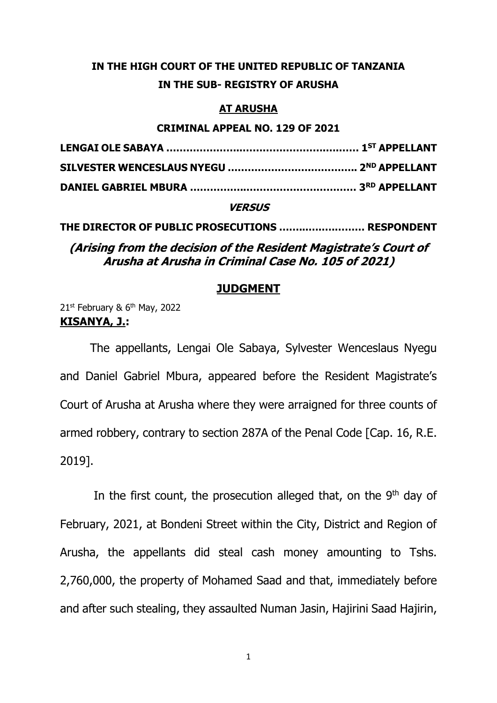## **IN THE HIGH COURT OF THE UNITED REPUBLIC OF TANZANIA IN THE SUB- REGISTRY OF ARUSHA**

### **AT ARUSHA**

#### **CRIMINAL APPEAL NO. 129 OF 2021**

#### **VERSUS**

**THE DIRECTOR OF PUBLIC PROSECUTIONS ……...….….……… RESPONDENT**

**(Arising from the decision of the Resident Magistrate's Court of Arusha at Arusha in Criminal Case No. 105 of 2021)**

#### **JUDGMENT**

21st February & 6<sup>th</sup> May, 2022 **KISANYA, J.:**

The appellants, Lengai Ole Sabaya, Sylvester Wenceslaus Nyegu and Daniel Gabriel Mbura, appeared before the Resident Magistrate's Court of Arusha at Arusha where they were arraigned for three counts of armed robbery, contrary to section 287A of the Penal Code [Cap. 16, R.E. 2019].

In the first count, the prosecution alleged that, on the  $9<sup>th</sup>$  day of February, 2021, at Bondeni Street within the City, District and Region of Arusha, the appellants did steal cash money amounting to Tshs. 2,760,000, the property of Mohamed Saad and that, immediately before and after such stealing, they assaulted Numan Jasin, Hajirini Saad Hajirin,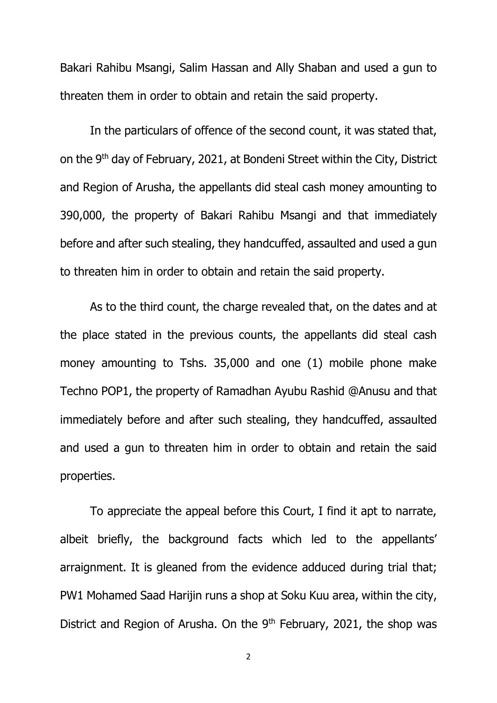Bakari Rahibu Msangi, Salim Hassan and Ally Shaban and used a gun to threaten them in order to obtain and retain the said property.

In the particulars of offence of the second count, it was stated that, on the 9th day of February, 2021, at Bondeni Street within the City, District and Region of Arusha, the appellants did steal cash money amounting to 390,000, the property of Bakari Rahibu Msangi and that immediately before and after such stealing, they handcuffed, assaulted and used a gun to threaten him in order to obtain and retain the said property.

As to the third count, the charge revealed that, on the dates and at the place stated in the previous counts, the appellants did steal cash money amounting to Tshs. 35,000 and one (1) mobile phone make Techno POP1, the property of Ramadhan Ayubu Rashid @Anusu and that immediately before and after such stealing, they handcuffed, assaulted and used a gun to threaten him in order to obtain and retain the said properties.

To appreciate the appeal before this Court, I find it apt to narrate, albeit briefly, the background facts which led to the appellants' arraignment. It is gleaned from the evidence adduced during trial that; PW1 Mohamed Saad Harijin runs a shop at Soku Kuu area, within the city, District and Region of Arusha. On the  $9<sup>th</sup>$  February, 2021, the shop was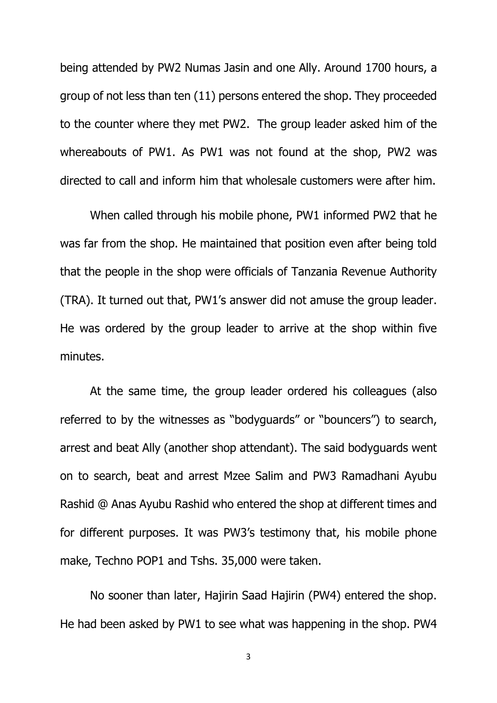being attended by PW2 Numas Jasin and one Ally. Around 1700 hours, a group of not less than ten (11) persons entered the shop. They proceeded to the counter where they met PW2. The group leader asked him of the whereabouts of PW1. As PW1 was not found at the shop, PW2 was directed to call and inform him that wholesale customers were after him.

When called through his mobile phone, PW1 informed PW2 that he was far from the shop. He maintained that position even after being told that the people in the shop were officials of Tanzania Revenue Authority (TRA). It turned out that, PW1's answer did not amuse the group leader. He was ordered by the group leader to arrive at the shop within five minutes.

At the same time, the group leader ordered his colleagues (also referred to by the witnesses as "bodyguards" or "bouncers") to search, arrest and beat Ally (another shop attendant). The said bodyguards went on to search, beat and arrest Mzee Salim and PW3 Ramadhani Ayubu Rashid @ Anas Ayubu Rashid who entered the shop at different times and for different purposes. It was PW3's testimony that, his mobile phone make, Techno POP1 and Tshs. 35,000 were taken.

No sooner than later, Hajirin Saad Hajirin (PW4) entered the shop. He had been asked by PW1 to see what was happening in the shop. PW4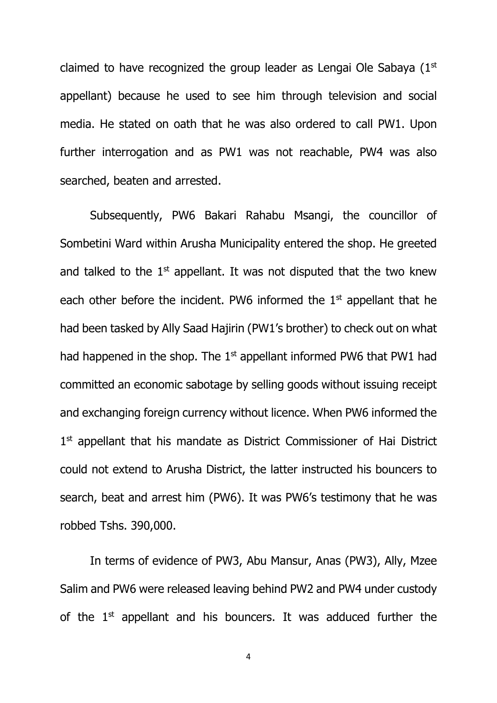claimed to have recognized the group leader as Lengai Ole Sabaya  $(1<sup>st</sup>$ appellant) because he used to see him through television and social media. He stated on oath that he was also ordered to call PW1. Upon further interrogation and as PW1 was not reachable, PW4 was also searched, beaten and arrested.

Subsequently, PW6 Bakari Rahabu Msangi, the councillor of Sombetini Ward within Arusha Municipality entered the shop. He greeted and talked to the  $1<sup>st</sup>$  appellant. It was not disputed that the two knew each other before the incident. PW6 informed the 1<sup>st</sup> appellant that he had been tasked by Ally Saad Hajirin (PW1's brother) to check out on what had happened in the shop. The  $1<sup>st</sup>$  appellant informed PW6 that PW1 had committed an economic sabotage by selling goods without issuing receipt and exchanging foreign currency without licence. When PW6 informed the 1<sup>st</sup> appellant that his mandate as District Commissioner of Hai District could not extend to Arusha District, the latter instructed his bouncers to search, beat and arrest him (PW6). It was PW6's testimony that he was robbed Tshs. 390,000.

In terms of evidence of PW3, Abu Mansur, Anas (PW3), Ally, Mzee Salim and PW6 were released leaving behind PW2 and PW4 under custody of the  $1<sup>st</sup>$  appellant and his bouncers. It was adduced further the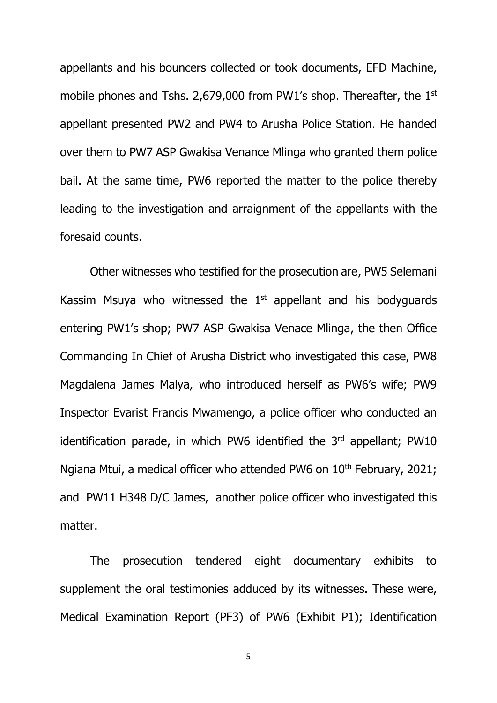appellants and his bouncers collected or took documents, EFD Machine, mobile phones and Tshs. 2,679,000 from PW1's shop. Thereafter, the  $1<sup>st</sup>$ appellant presented PW2 and PW4 to Arusha Police Station. He handed over them to PW7 ASP Gwakisa Venance Mlinga who granted them police bail. At the same time, PW6 reported the matter to the police thereby leading to the investigation and arraignment of the appellants with the foresaid counts.

Other witnesses who testified for the prosecution are, PW5 Selemani Kassim Msuya who witnessed the  $1<sup>st</sup>$  appellant and his bodyguards entering PW1's shop; PW7 ASP Gwakisa Venace Mlinga, the then Office Commanding In Chief of Arusha District who investigated this case, PW8 Magdalena James Malya, who introduced herself as PW6's wife; PW9 Inspector Evarist Francis Mwamengo, a police officer who conducted an identification parade, in which PW6 identified the  $3<sup>rd</sup>$  appellant; PW10 Ngiana Mtui, a medical officer who attended PW6 on 10<sup>th</sup> February, 2021; and PW11 H348 D/C James, another police officer who investigated this matter.

The prosecution tendered eight documentary exhibits to supplement the oral testimonies adduced by its witnesses. These were, Medical Examination Report (PF3) of PW6 (Exhibit P1); Identification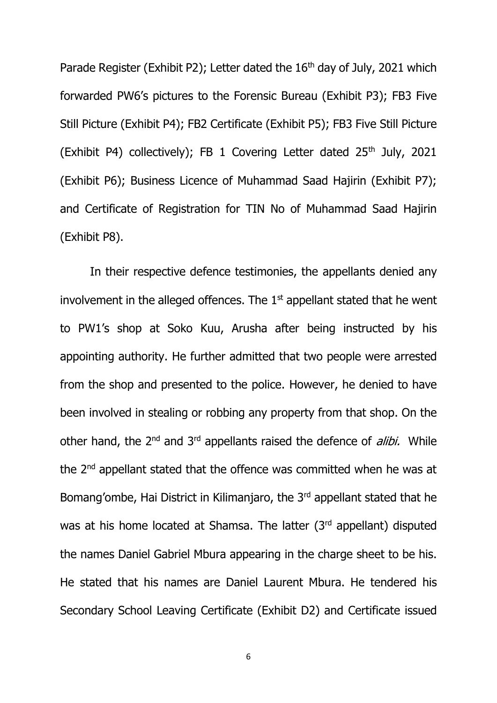Parade Register (Exhibit P2); Letter dated the 16<sup>th</sup> day of July, 2021 which forwarded PW6's pictures to the Forensic Bureau (Exhibit P3); FB3 Five Still Picture (Exhibit P4); FB2 Certificate (Exhibit P5); FB3 Five Still Picture (Exhibit P4) collectively); FB 1 Covering Letter dated  $25<sup>th</sup>$  July, 2021 (Exhibit P6); Business Licence of Muhammad Saad Hajirin (Exhibit P7); and Certificate of Registration for TIN No of Muhammad Saad Hajirin (Exhibit P8).

In their respective defence testimonies, the appellants denied any involvement in the alleged offences. The  $1<sup>st</sup>$  appellant stated that he went to PW1's shop at Soko Kuu, Arusha after being instructed by his appointing authority. He further admitted that two people were arrested from the shop and presented to the police. However, he denied to have been involved in stealing or robbing any property from that shop. On the other hand, the 2<sup>nd</sup> and 3<sup>rd</sup> appellants raised the defence of *alibi*. While the 2nd appellant stated that the offence was committed when he was at Bomang'ombe, Hai District in Kilimanjaro, the 3<sup>rd</sup> appellant stated that he was at his home located at Shamsa. The latter (3rd appellant) disputed the names Daniel Gabriel Mbura appearing in the charge sheet to be his. He stated that his names are Daniel Laurent Mbura. He tendered his Secondary School Leaving Certificate (Exhibit D2) and Certificate issued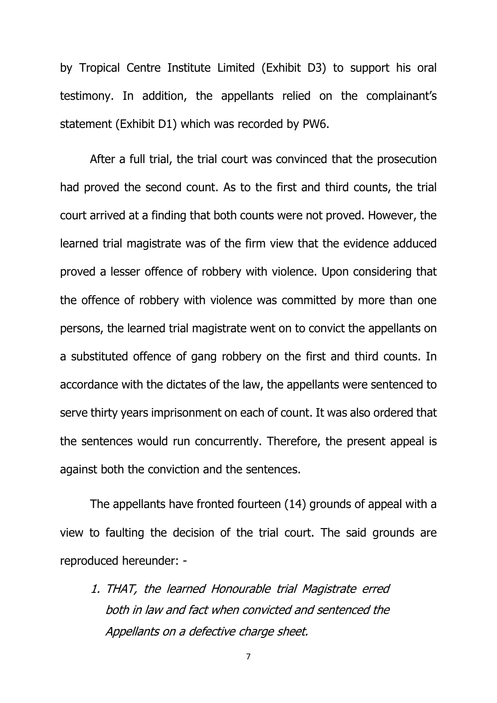by Tropical Centre Institute Limited (Exhibit D3) to support his oral testimony. In addition, the appellants relied on the complainant's statement (Exhibit D1) which was recorded by PW6.

After a full trial, the trial court was convinced that the prosecution had proved the second count. As to the first and third counts, the trial court arrived at a finding that both counts were not proved. However, the learned trial magistrate was of the firm view that the evidence adduced proved a lesser offence of robbery with violence. Upon considering that the offence of robbery with violence was committed by more than one persons, the learned trial magistrate went on to convict the appellants on a substituted offence of gang robbery on the first and third counts. In accordance with the dictates of the law, the appellants were sentenced to serve thirty years imprisonment on each of count. It was also ordered that the sentences would run concurrently. Therefore, the present appeal is against both the conviction and the sentences.

The appellants have fronted fourteen (14) grounds of appeal with a view to faulting the decision of the trial court. The said grounds are reproduced hereunder: -

1. THAT, the learned Honourable trial Magistrate erred both in law and fact when convicted and sentenced the Appellants on a defective charge sheet.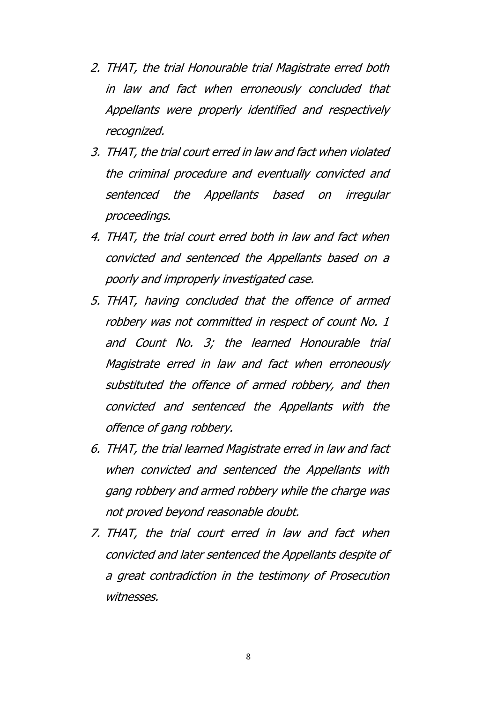- 2. THAT, the trial Honourable trial Magistrate erred both in law and fact when erroneously concluded that Appellants were properly identified and respectively recognized.
- 3. THAT, the trial court erred in law and fact when violated the criminal procedure and eventually convicted and sentenced the Appellants based on irregular proceedings.
- 4. THAT, the trial court erred both in law and fact when convicted and sentenced the Appellants based on a poorly and improperly investigated case.
- 5. THAT, having concluded that the offence of armed robbery was not committed in respect of count No. 1 and Count No. 3; the learned Honourable trial Magistrate erred in law and fact when erroneously substituted the offence of armed robbery, and then convicted and sentenced the Appellants with the offence of gang robbery.
- 6. THAT, the trial learned Magistrate erred in law and fact when convicted and sentenced the Appellants with gang robbery and armed robbery while the charge was not proved beyond reasonable doubt.
- 7. THAT, the trial court erred in law and fact when convicted and later sentenced the Appellants despite of a great contradiction in the testimony of Prosecution witnesses.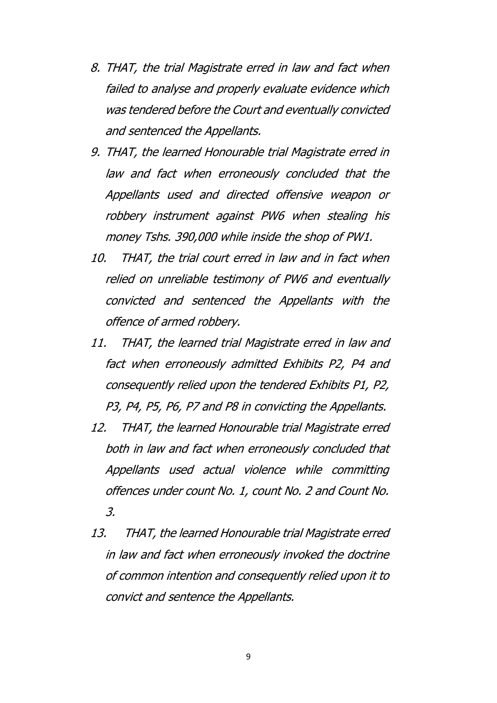- 8. THAT, the trial Magistrate erred in law and fact when failed to analyse and properly evaluate evidence which was tendered before the Court and eventually convicted and sentenced the Appellants.
- 9. THAT, the learned Honourable trial Magistrate erred in law and fact when erroneously concluded that the Appellants used and directed offensive weapon or robbery instrument against PW6 when stealing his money Tshs. 390,000 while inside the shop of PW1.
- 10. THAT, the trial court erred in law and in fact when relied on unreliable testimony of PW6 and eventually convicted and sentenced the Appellants with the offence of armed robbery.
- 11. THAT, the learned trial Magistrate erred in law and fact when erroneously admitted Exhibits P2, P4 and consequently relied upon the tendered Exhibits P1, P2, P3, P4, P5, P6, P7 and P8 in convicting the Appellants.
- 12. THAT, the learned Honourable trial Magistrate erred both in law and fact when erroneously concluded that Appellants used actual violence while committing offences under count No. 1, count No. 2 and Count No. 3.
- 13. THAT, the learned Honourable trial Magistrate erred in law and fact when erroneously invoked the doctrine of common intention and consequently relied upon it to convict and sentence the Appellants.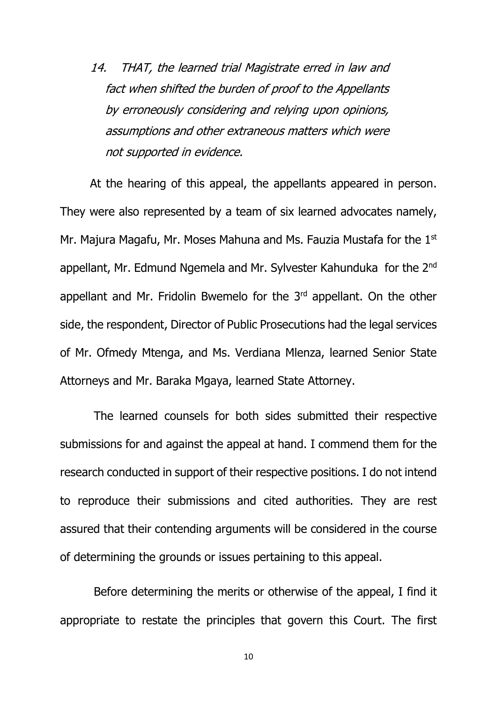14. THAT, the learned trial Magistrate erred in law and fact when shifted the burden of proof to the Appellants by erroneously considering and relying upon opinions, assumptions and other extraneous matters which were not supported in evidence.

At the hearing of this appeal, the appellants appeared in person. They were also represented by a team of six learned advocates namely, Mr. Majura Magafu, Mr. Moses Mahuna and Ms. Fauzia Mustafa for the 1<sup>st</sup> appellant, Mr. Edmund Ngemela and Mr. Sylvester Kahunduka for the 2<sup>nd</sup> appellant and Mr. Fridolin Bwemelo for the 3rd appellant. On the other side, the respondent, Director of Public Prosecutions had the legal services of Mr. Ofmedy Mtenga, and Ms. Verdiana Mlenza, learned Senior State Attorneys and Mr. Baraka Mgaya, learned State Attorney.

The learned counsels for both sides submitted their respective submissions for and against the appeal at hand. I commend them for the research conducted in support of their respective positions. I do not intend to reproduce their submissions and cited authorities. They are rest assured that their contending arguments will be considered in the course of determining the grounds or issues pertaining to this appeal.

Before determining the merits or otherwise of the appeal, I find it appropriate to restate the principles that govern this Court. The first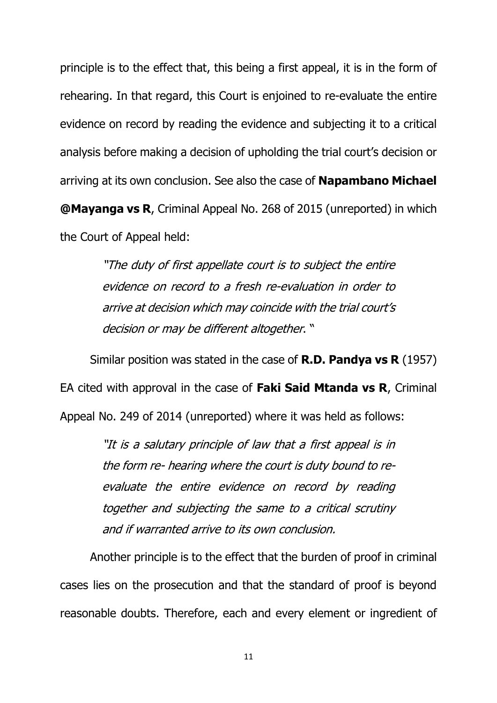principle is to the effect that, this being a first appeal, it is in the form of rehearing. In that regard, this Court is enjoined to re-evaluate the entire evidence on record by reading the evidence and subjecting it to a critical analysis before making a decision of upholding the trial court's decision or arriving at its own conclusion. See also the case of **Napambano Michael @Mayanga vs R**, Criminal Appeal No. 268 of 2015 (unreported) in which the Court of Appeal held:

> "The duty of first appellate court is to subject the entire evidence on record to a fresh re-evaluation in order to arrive at decision which may coincide with the trial court's decision or may be different altogether. "

Similar position was stated in the case of **R.D. Pandya vs R** (1957) EA cited with approval in the case of **Faki Said Mtanda vs R**, Criminal Appeal No. 249 of 2014 (unreported) where it was held as follows:

> "It is a salutary principle of law that a first appeal is in the form re- hearing where the court is duty bound to reevaluate the entire evidence on record by reading together and subjecting the same to a critical scrutiny and if warranted arrive to its own conclusion.

Another principle is to the effect that the burden of proof in criminal cases lies on the prosecution and that the standard of proof is beyond reasonable doubts. Therefore, each and every element or ingredient of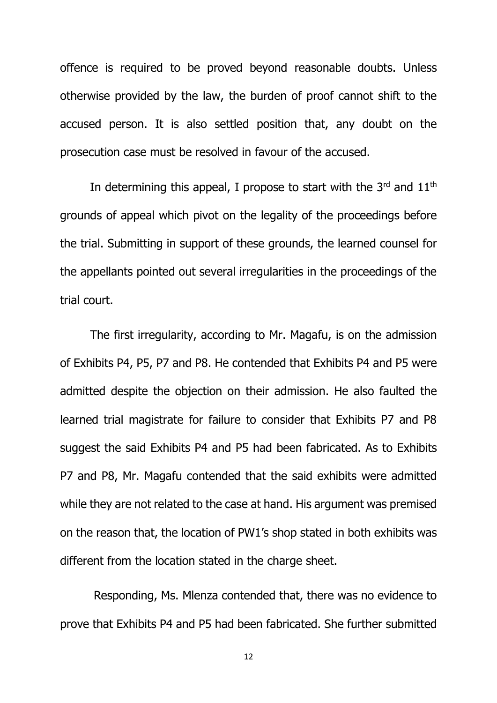offence is required to be proved beyond reasonable doubts. Unless otherwise provided by the law, the burden of proof cannot shift to the accused person. It is also settled position that, any doubt on the prosecution case must be resolved in favour of the accused.

In determining this appeal, I propose to start with the  $3<sup>rd</sup>$  and  $11<sup>th</sup>$ grounds of appeal which pivot on the legality of the proceedings before the trial. Submitting in support of these grounds, the learned counsel for the appellants pointed out several irregularities in the proceedings of the trial court.

The first irregularity, according to Mr. Magafu, is on the admission of Exhibits P4, P5, P7 and P8. He contended that Exhibits P4 and P5 were admitted despite the objection on their admission. He also faulted the learned trial magistrate for failure to consider that Exhibits P7 and P8 suggest the said Exhibits P4 and P5 had been fabricated. As to Exhibits P7 and P8, Mr. Magafu contended that the said exhibits were admitted while they are not related to the case at hand. His argument was premised on the reason that, the location of PW1's shop stated in both exhibits was different from the location stated in the charge sheet.

Responding, Ms. Mlenza contended that, there was no evidence to prove that Exhibits P4 and P5 had been fabricated. She further submitted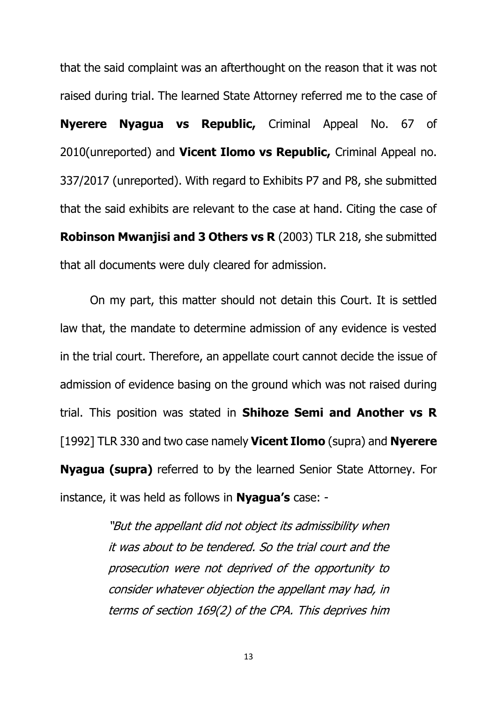that the said complaint was an afterthought on the reason that it was not raised during trial. The learned State Attorney referred me to the case of **Nyerere Nyagua vs Republic,** Criminal Appeal No. 67 of 2010(unreported) and **Vicent Ilomo vs Republic,** Criminal Appeal no. 337/2017 (unreported). With regard to Exhibits P7 and P8, she submitted that the said exhibits are relevant to the case at hand. Citing the case of **Robinson Mwanjisi and 3 Others vs R** (2003) TLR 218, she submitted that all documents were duly cleared for admission.

On my part, this matter should not detain this Court. It is settled law that, the mandate to determine admission of any evidence is vested in the trial court. Therefore, an appellate court cannot decide the issue of admission of evidence basing on the ground which was not raised during trial. This position was stated in **Shihoze Semi and Another vs R**  [1992] TLR 330 and two case namely **Vicent Ilomo** (supra) and **Nyerere Nyagua (supra)** referred to by the learned Senior State Attorney. For instance, it was held as follows in **Nyagua's** case: -

> "But the appellant did not object its admissibility when it was about to be tendered. So the trial court and the prosecution were not deprived of the opportunity to consider whatever objection the appellant may had, in terms of section 169(2) of the CPA. This deprives him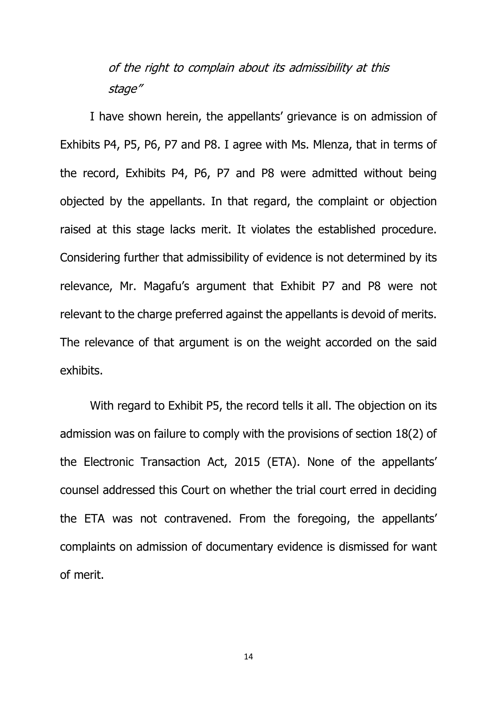# of the right to complain about its admissibility at this stage"

I have shown herein, the appellants' grievance is on admission of Exhibits P4, P5, P6, P7 and P8. I agree with Ms. Mlenza, that in terms of the record, Exhibits P4, P6, P7 and P8 were admitted without being objected by the appellants. In that regard, the complaint or objection raised at this stage lacks merit. It violates the established procedure. Considering further that admissibility of evidence is not determined by its relevance, Mr. Magafu's argument that Exhibit P7 and P8 were not relevant to the charge preferred against the appellants is devoid of merits. The relevance of that argument is on the weight accorded on the said exhibits.

With regard to Exhibit P5, the record tells it all. The objection on its admission was on failure to comply with the provisions of section 18(2) of the Electronic Transaction Act, 2015 (ETA). None of the appellants' counsel addressed this Court on whether the trial court erred in deciding the ETA was not contravened. From the foregoing, the appellants' complaints on admission of documentary evidence is dismissed for want of merit.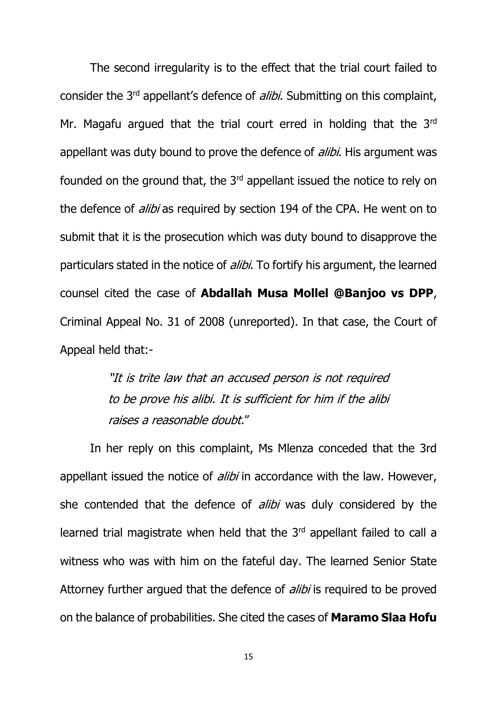The second irregularity is to the effect that the trial court failed to consider the 3<sup>rd</sup> appellant's defence of *alibi*. Submitting on this complaint, Mr. Magafu argued that the trial court erred in holding that the 3rd appellant was duty bound to prove the defence of *alibi*. His argument was founded on the ground that, the 3rd appellant issued the notice to rely on the defence of *alibi* as required by section 194 of the CPA. He went on to submit that it is the prosecution which was duty bound to disapprove the particulars stated in the notice of *alibi*. To fortify his argument, the learned counsel cited the case of **Abdallah Musa Mollel @Banjoo vs DPP**, Criminal Appeal No. 31 of 2008 (unreported). In that case, the Court of Appeal held that:-

> "It is trite law that an accused person is not required to be prove his alibi. It is sufficient for him if the alibi raises a reasonable doubt."

In her reply on this complaint, Ms Mlenza conceded that the 3rd appellant issued the notice of *alibi* in accordance with the law. However, she contended that the defence of *alibi* was duly considered by the learned trial magistrate when held that the 3<sup>rd</sup> appellant failed to call a witness who was with him on the fateful day. The learned Senior State Attorney further argued that the defence of *alibi* is required to be proved on the balance of probabilities. She cited the cases of **Maramo Slaa Hofu**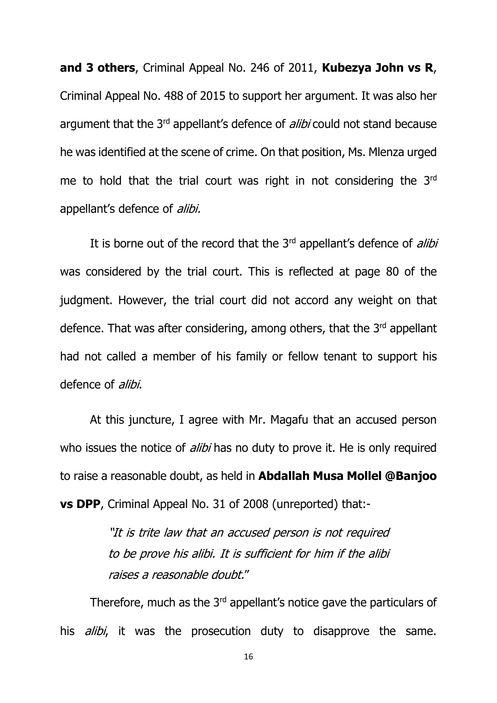**and 3 others**, Criminal Appeal No. 246 of 2011, **Kubezya John vs R**, Criminal Appeal No. 488 of 2015 to support her argument. It was also her argument that the 3<sup>rd</sup> appellant's defence of *alibi* could not stand because he was identified at the scene of crime. On that position, Ms. Mlenza urged me to hold that the trial court was right in not considering the 3rd appellant's defence of alibi.

It is borne out of the record that the  $3<sup>rd</sup>$  appellant's defence of *alibi* was considered by the trial court. This is reflected at page 80 of the judgment. However, the trial court did not accord any weight on that defence. That was after considering, among others, that the 3<sup>rd</sup> appellant had not called a member of his family or fellow tenant to support his defence of *alibi*.

At this juncture, I agree with Mr. Magafu that an accused person who issues the notice of *alibi* has no duty to prove it. He is only required to raise a reasonable doubt, as held in **Abdallah Musa Mollel @Banjoo vs DPP**, Criminal Appeal No. 31 of 2008 (unreported) that:-

> "It is trite law that an accused person is not required to be prove his alibi. It is sufficient for him if the alibi raises a reasonable doubt."

Therefore, much as the 3<sup>rd</sup> appellant's notice gave the particulars of his *alibi*, it was the prosecution duty to disapprove the same.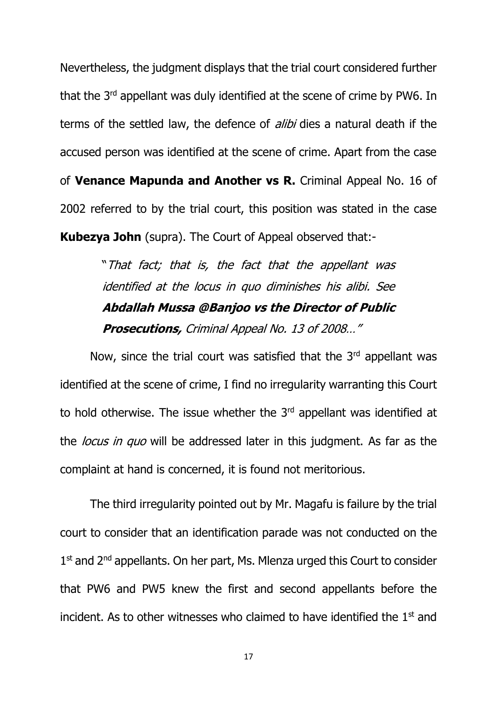Nevertheless, the judgment displays that the trial court considered further that the 3<sup>rd</sup> appellant was duly identified at the scene of crime by PW6. In terms of the settled law, the defence of *alibi* dies a natural death if the accused person was identified at the scene of crime. Apart from the case of **Venance Mapunda and Another vs R.** Criminal Appeal No. 16 of 2002 referred to by the trial court, this position was stated in the case **Kubezya John** (supra). The Court of Appeal observed that:-

> "That fact; that is, the fact that the appellant was identified at the locus in quo diminishes his alibi. See **Abdallah Mussa @Banjoo vs the Director of Public Prosecutions,** Criminal Appeal No. 13 of 2008…"

Now, since the trial court was satisfied that the  $3<sup>rd</sup>$  appellant was identified at the scene of crime, I find no irregularity warranting this Court to hold otherwise. The issue whether the  $3<sup>rd</sup>$  appellant was identified at the *locus in quo* will be addressed later in this judgment. As far as the complaint at hand is concerned, it is found not meritorious.

The third irregularity pointed out by Mr. Magafu is failure by the trial court to consider that an identification parade was not conducted on the 1<sup>st</sup> and 2<sup>nd</sup> appellants. On her part, Ms. Mlenza urged this Court to consider that PW6 and PW5 knew the first and second appellants before the incident. As to other witnesses who claimed to have identified the  $1<sup>st</sup>$  and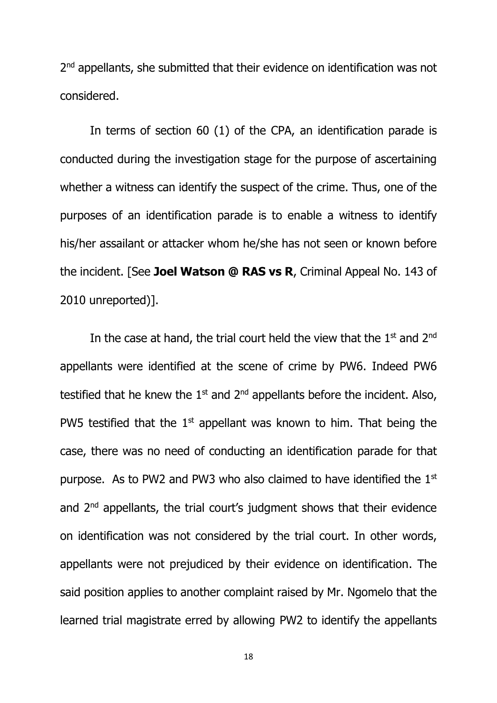2<sup>nd</sup> appellants, she submitted that their evidence on identification was not considered.

In terms of section 60 (1) of the CPA, an identification parade is conducted during the investigation stage for the purpose of ascertaining whether a witness can identify the suspect of the crime. Thus, one of the purposes of an identification parade is to enable a witness to identify his/her assailant or attacker whom he/she has not seen or known before the incident. [See **Joel Watson @ RAS vs R**, Criminal Appeal No. 143 of 2010 unreported)].

In the case at hand, the trial court held the view that the  $1<sup>st</sup>$  and  $2<sup>nd</sup>$ appellants were identified at the scene of crime by PW6. Indeed PW6 testified that he knew the  $1<sup>st</sup>$  and  $2<sup>nd</sup>$  appellants before the incident. Also, PW5 testified that the  $1<sup>st</sup>$  appellant was known to him. That being the case, there was no need of conducting an identification parade for that purpose. As to PW2 and PW3 who also claimed to have identified the  $1<sup>st</sup>$ and 2nd appellants, the trial court's judgment shows that their evidence on identification was not considered by the trial court. In other words, appellants were not prejudiced by their evidence on identification. The said position applies to another complaint raised by Mr. Ngomelo that the learned trial magistrate erred by allowing PW2 to identify the appellants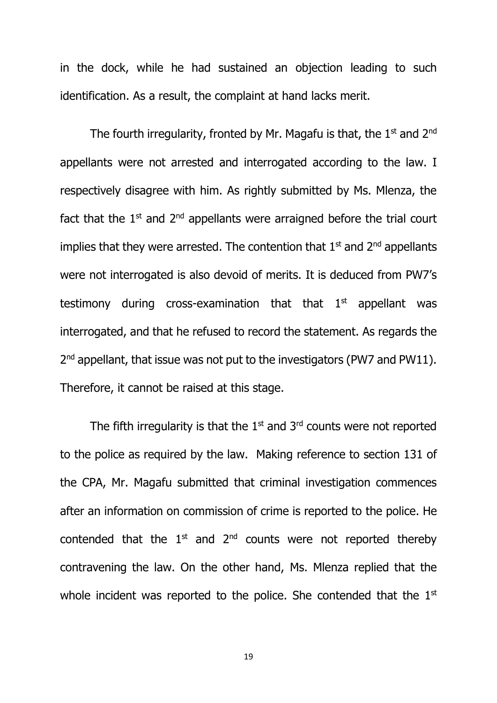in the dock, while he had sustained an objection leading to such identification. As a result, the complaint at hand lacks merit.

The fourth irregularity, fronted by Mr. Magafu is that, the  $1<sup>st</sup>$  and  $2<sup>nd</sup>$ appellants were not arrested and interrogated according to the law. I respectively disagree with him. As rightly submitted by Ms. Mlenza, the fact that the  $1<sup>st</sup>$  and  $2<sup>nd</sup>$  appellants were arraigned before the trial court implies that they were arrested. The contention that  $1<sup>st</sup>$  and  $2<sup>nd</sup>$  appellants were not interrogated is also devoid of merits. It is deduced from PW7's testimony during cross-examination that that  $1<sup>st</sup>$  appellant was interrogated, and that he refused to record the statement. As regards the 2<sup>nd</sup> appellant, that issue was not put to the investigators (PW7 and PW11). Therefore, it cannot be raised at this stage.

The fifth irregularity is that the  $1<sup>st</sup>$  and  $3<sup>rd</sup>$  counts were not reported to the police as required by the law. Making reference to section 131 of the CPA, Mr. Magafu submitted that criminal investigation commences after an information on commission of crime is reported to the police. He contended that the  $1<sup>st</sup>$  and  $2<sup>nd</sup>$  counts were not reported thereby contravening the law. On the other hand, Ms. Mlenza replied that the whole incident was reported to the police. She contended that the  $1<sup>st</sup>$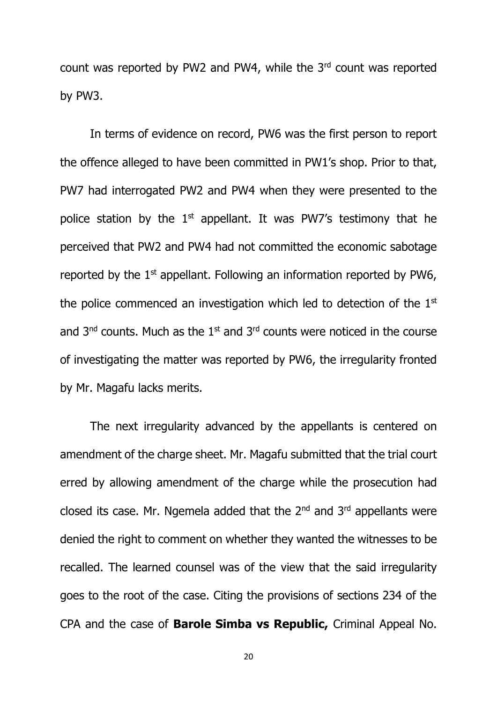count was reported by PW2 and PW4, while the 3rd count was reported by PW3.

In terms of evidence on record, PW6 was the first person to report the offence alleged to have been committed in PW1's shop. Prior to that, PW7 had interrogated PW2 and PW4 when they were presented to the police station by the  $1<sup>st</sup>$  appellant. It was PW7's testimony that he perceived that PW2 and PW4 had not committed the economic sabotage reported by the 1<sup>st</sup> appellant. Following an information reported by PW6, the police commenced an investigation which led to detection of the  $1<sup>st</sup>$ and  $3<sup>nd</sup>$  counts. Much as the  $1<sup>st</sup>$  and  $3<sup>rd</sup>$  counts were noticed in the course of investigating the matter was reported by PW6, the irregularity fronted by Mr. Magafu lacks merits.

The next irregularity advanced by the appellants is centered on amendment of the charge sheet. Mr. Magafu submitted that the trial court erred by allowing amendment of the charge while the prosecution had closed its case. Mr. Ngemela added that the  $2<sup>nd</sup>$  and  $3<sup>rd</sup>$  appellants were denied the right to comment on whether they wanted the witnesses to be recalled. The learned counsel was of the view that the said irregularity goes to the root of the case. Citing the provisions of sections 234 of the CPA and the case of **Barole Simba vs Republic,** Criminal Appeal No.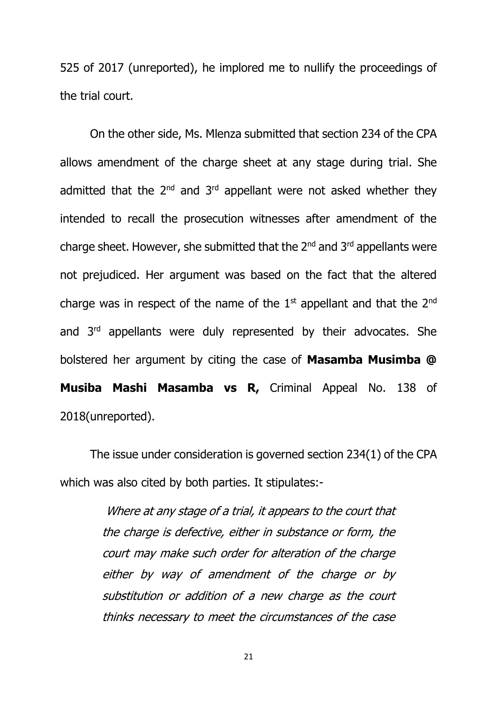525 of 2017 (unreported), he implored me to nullify the proceedings of the trial court.

On the other side, Ms. Mlenza submitted that section 234 of the CPA allows amendment of the charge sheet at any stage during trial. She admitted that the  $2^{nd}$  and  $3^{rd}$  appellant were not asked whether they intended to recall the prosecution witnesses after amendment of the charge sheet. However, she submitted that the 2<sup>nd</sup> and 3<sup>rd</sup> appellants were not prejudiced. Her argument was based on the fact that the altered charge was in respect of the name of the  $1<sup>st</sup>$  appellant and that the  $2<sup>nd</sup>$ and 3rd appellants were duly represented by their advocates. She bolstered her argument by citing the case of **Masamba Musimba @ Musiba Mashi Masamba vs R,** Criminal Appeal No. 138 of 2018(unreported).

The issue under consideration is governed section 234(1) of the CPA which was also cited by both parties. It stipulates:-

> Where at any stage of a trial, it appears to the court that the charge is defective, either in substance or form, the court may make such order for alteration of the charge either by way of amendment of the charge or by substitution or addition of a new charge as the court thinks necessary to meet the circumstances of the case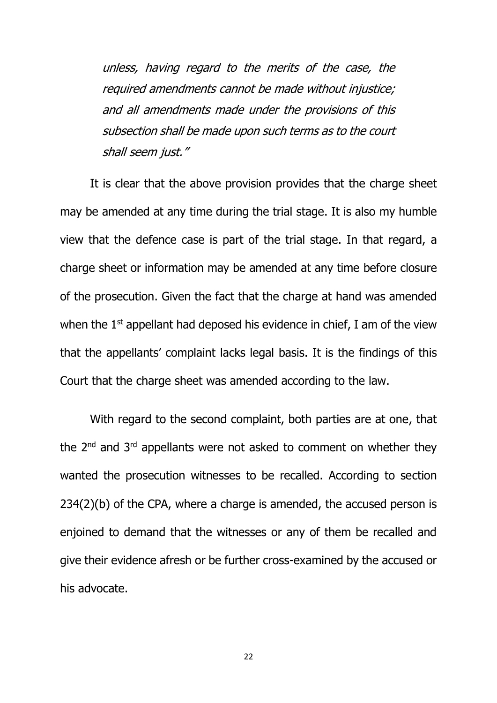unless, having regard to the merits of the case, the required amendments cannot be made without injustice; and all amendments made under the provisions of this subsection shall be made upon such terms as to the court shall seem just."

It is clear that the above provision provides that the charge sheet may be amended at any time during the trial stage. It is also my humble view that the defence case is part of the trial stage. In that regard, a charge sheet or information may be amended at any time before closure of the prosecution. Given the fact that the charge at hand was amended when the  $1<sup>st</sup>$  appellant had deposed his evidence in chief, I am of the view that the appellants' complaint lacks legal basis. It is the findings of this Court that the charge sheet was amended according to the law.

With regard to the second complaint, both parties are at one, that the 2<sup>nd</sup> and 3<sup>rd</sup> appellants were not asked to comment on whether they wanted the prosecution witnesses to be recalled. According to section 234(2)(b) of the CPA, where a charge is amended, the accused person is enjoined to demand that the witnesses or any of them be recalled and give their evidence afresh or be further cross-examined by the accused or his advocate.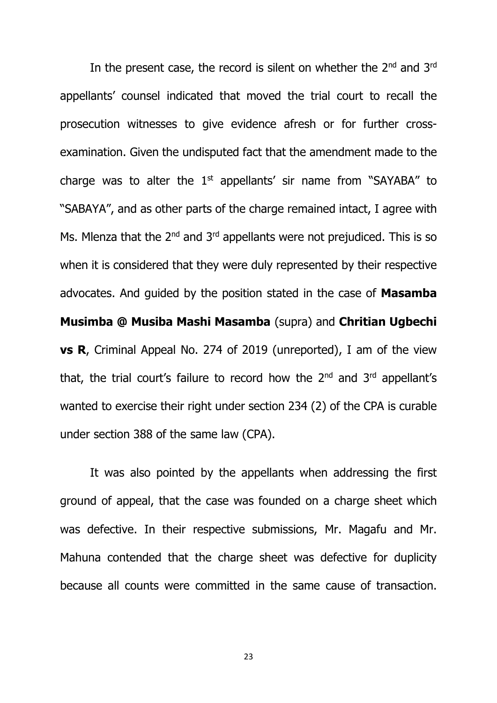In the present case, the record is silent on whether the 2<sup>nd</sup> and 3<sup>rd</sup> appellants' counsel indicated that moved the trial court to recall the prosecution witnesses to give evidence afresh or for further crossexamination. Given the undisputed fact that the amendment made to the charge was to alter the  $1<sup>st</sup>$  appellants' sir name from "SAYABA" to "SABAYA", and as other parts of the charge remained intact, I agree with Ms. Mlenza that the  $2^{nd}$  and  $3^{rd}$  appellants were not prejudiced. This is so when it is considered that they were duly represented by their respective advocates. And guided by the position stated in the case of **Masamba Musimba @ Musiba Mashi Masamba** (supra) and **Chritian Ugbechi vs R**, Criminal Appeal No. 274 of 2019 (unreported), I am of the view that, the trial court's failure to record how the  $2<sup>nd</sup>$  and  $3<sup>rd</sup>$  appellant's wanted to exercise their right under section 234 (2) of the CPA is curable under section 388 of the same law (CPA).

It was also pointed by the appellants when addressing the first ground of appeal, that the case was founded on a charge sheet which was defective. In their respective submissions, Mr. Magafu and Mr. Mahuna contended that the charge sheet was defective for duplicity because all counts were committed in the same cause of transaction.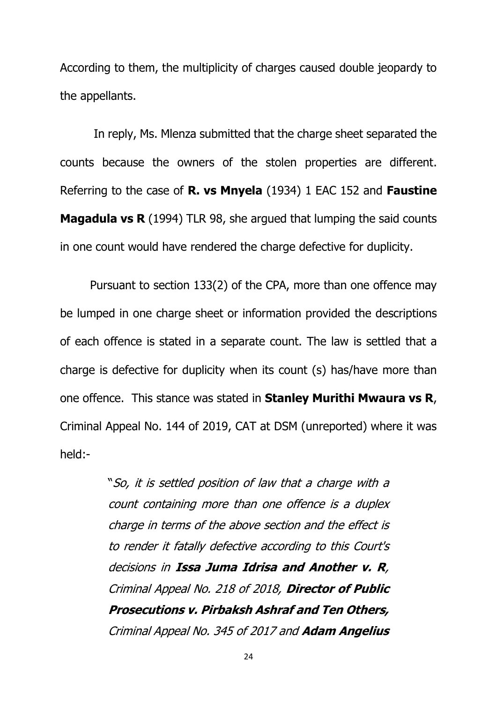According to them, the multiplicity of charges caused double jeopardy to the appellants.

In reply, Ms. Mlenza submitted that the charge sheet separated the counts because the owners of the stolen properties are different. Referring to the case of **R. vs Mnyela** (1934) 1 EAC 152 and **Faustine Magadula vs R** (1994) TLR 98, she argued that lumping the said counts in one count would have rendered the charge defective for duplicity.

Pursuant to section 133(2) of the CPA, more than one offence may be lumped in one charge sheet or information provided the descriptions of each offence is stated in a separate count. The law is settled that a charge is defective for duplicity when its count (s) has/have more than one offence. This stance was stated in **Stanley Murithi Mwaura vs R**, Criminal Appeal No. 144 of 2019, CAT at DSM (unreported) where it was held:-

> "So, it is settled position of law that a charge with a count containing more than one offence is a duplex charge in terms of the above section and the effect is to render it fatally defective according to this Court's decisions in **Issa Juma Idrisa and Another v. R**, Criminal Appeal No. 218 of 2018, **Director of Public Prosecutions v. Pirbaksh Ashraf and Ten Others,** Criminal Appeal No. 345 of 2017 and **Adam Angelius**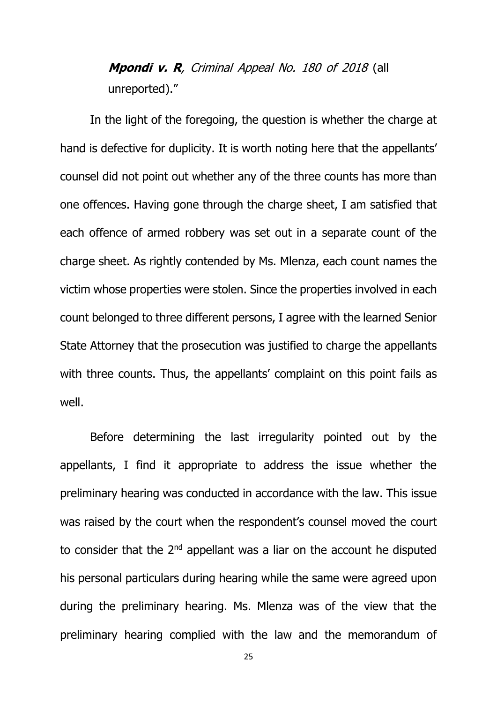# **Mpondi v. R**, Criminal Appeal No. 180 of 2018 (all unreported)."

In the light of the foregoing, the question is whether the charge at hand is defective for duplicity. It is worth noting here that the appellants' counsel did not point out whether any of the three counts has more than one offences. Having gone through the charge sheet, I am satisfied that each offence of armed robbery was set out in a separate count of the charge sheet. As rightly contended by Ms. Mlenza, each count names the victim whose properties were stolen. Since the properties involved in each count belonged to three different persons, I agree with the learned Senior State Attorney that the prosecution was justified to charge the appellants with three counts. Thus, the appellants' complaint on this point fails as well.

Before determining the last irregularity pointed out by the appellants, I find it appropriate to address the issue whether the preliminary hearing was conducted in accordance with the law. This issue was raised by the court when the respondent's counsel moved the court to consider that the  $2^{nd}$  appellant was a liar on the account he disputed his personal particulars during hearing while the same were agreed upon during the preliminary hearing. Ms. Mlenza was of the view that the preliminary hearing complied with the law and the memorandum of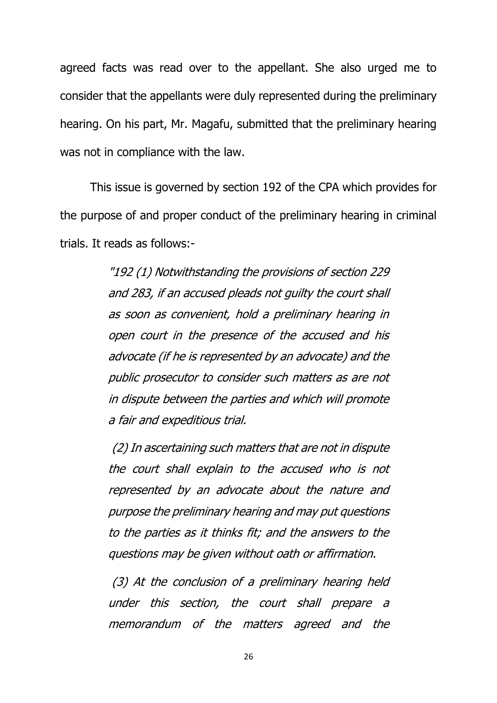agreed facts was read over to the appellant. She also urged me to consider that the appellants were duly represented during the preliminary hearing. On his part, Mr. Magafu, submitted that the preliminary hearing was not in compliance with the law.

This issue is governed by section 192 of the CPA which provides for the purpose of and proper conduct of the preliminary hearing in criminal trials. It reads as follows:-

> "192 (1) Notwithstanding the provisions of section 229 and 283, if an accused pleads not guilty the court shall as soon as convenient, hold a preliminary hearing in open court in the presence of the accused and his advocate (if he is represented by an advocate) and the public prosecutor to consider such matters as are not in dispute between the parties and which will promote a fair and expeditious trial.

> (2) In ascertaining such matters that are not in dispute the court shall explain to the accused who is not represented by an advocate about the nature and purpose the preliminary hearing and may put questions to the parties as it thinks fit; and the answers to the questions may be given without oath or affirmation.

> (3) At the conclusion of a preliminary hearing held under this section, the court shall prepare a memorandum of the matters agreed and the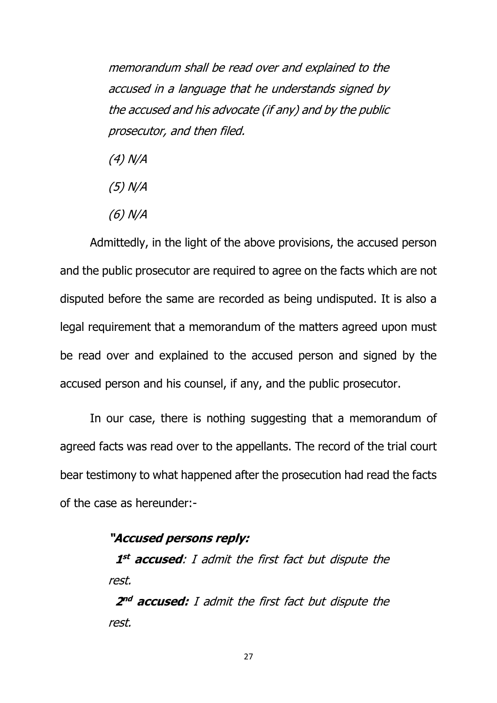memorandum shall be read over and explained to the accused in a language that he understands signed by the accused and his advocate (if any) and by the public prosecutor, and then filed.

- (4) N/A
- (5) N/A
- (6) N/A

Admittedly, in the light of the above provisions, the accused person and the public prosecutor are required to agree on the facts which are not disputed before the same are recorded as being undisputed. It is also a legal requirement that a memorandum of the matters agreed upon must be read over and explained to the accused person and signed by the accused person and his counsel, if any, and the public prosecutor.

In our case, there is nothing suggesting that a memorandum of agreed facts was read over to the appellants. The record of the trial court bear testimony to what happened after the prosecution had read the facts of the case as hereunder:-

### **"Accused person<sup>s</sup> reply:**

 **1 st accused**: I admit the first fact but dispute the rest.

 **2 nd accused:** I admit the first fact but dispute the rest.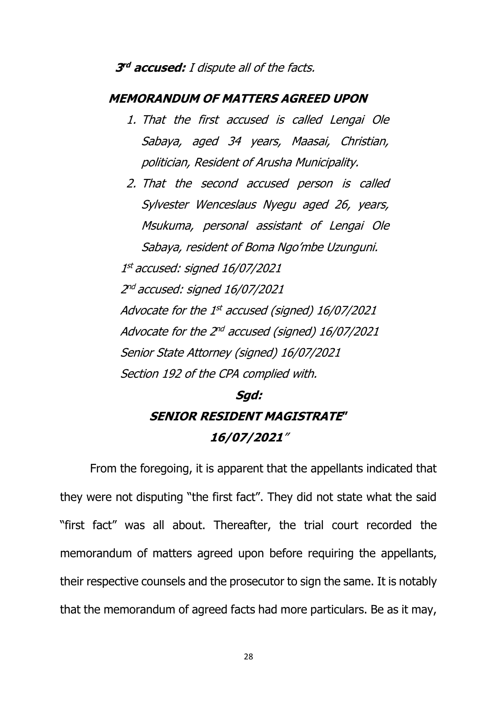### **3 rd accused:** I dispute all of the facts.

### **MEMORANDUM OF MATTERS AGREED UPON**

- 1. That the first accused is called Lengai Ole Sabaya, aged 34 years, Maasai, Christian, politician, Resident of Arusha Municipality.
- 2. That the second accused person is called Sylvester Wenceslaus Nyegu aged 26, years, Msukuma, personal assistant of Lengai Ole Sabaya, resident of Boma Ngo'mbe Uzunguni. 1 st accused: signed 16/07/2021 2 nd accused: signed 16/07/2021 Advocate for the 1st accused (signed) 16/07/2021 Advocate for the 2<sup>nd</sup> accused (signed) 16/07/2021 Senior State Attorney (signed) 16/07/2021 Section 192 of the CPA complied with.

# **Sgd: SENIOR RESIDENT MAGISTRATE" 16/07/2021**"

From the foregoing, it is apparent that the appellants indicated that they were not disputing "the first fact". They did not state what the said "first fact" was all about. Thereafter, the trial court recorded the memorandum of matters agreed upon before requiring the appellants, their respective counsels and the prosecutor to sign the same. It is notably that the memorandum of agreed facts had more particulars. Be as it may,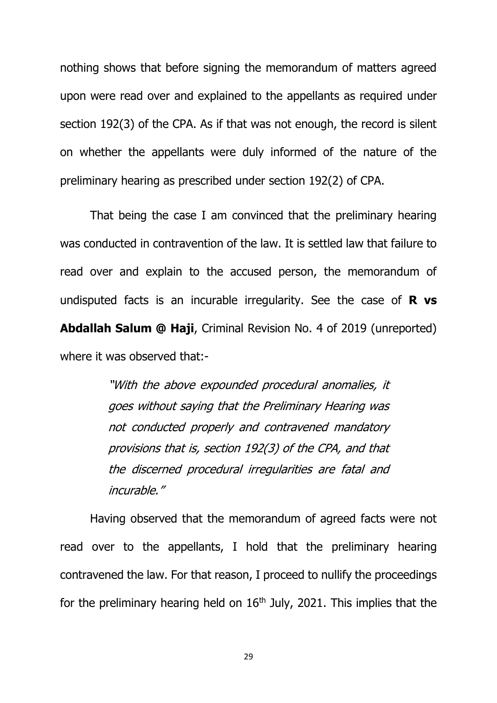nothing shows that before signing the memorandum of matters agreed upon were read over and explained to the appellants as required under section 192(3) of the CPA. As if that was not enough, the record is silent on whether the appellants were duly informed of the nature of the preliminary hearing as prescribed under section 192(2) of CPA.

That being the case I am convinced that the preliminary hearing was conducted in contravention of the law. It is settled law that failure to read over and explain to the accused person, the memorandum of undisputed facts is an incurable irregularity. See the case of **R vs Abdallah Salum @ Haji**, Criminal Revision No. 4 of 2019 (unreported) where it was observed that:-

> "With the above expounded procedural anomalies, it goes without saying that the Preliminary Hearing was not conducted properly and contravened mandatory provisions that is, section 192(3) of the CPA, and that the discerned procedural irregularities are fatal and incurable."

Having observed that the memorandum of agreed facts were not read over to the appellants, I hold that the preliminary hearing contravened the law. For that reason, I proceed to nullify the proceedings for the preliminary hearing held on  $16<sup>th</sup>$  July, 2021. This implies that the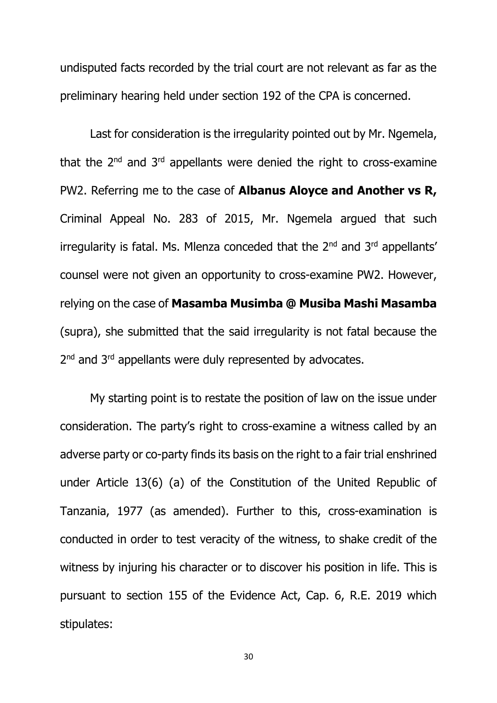undisputed facts recorded by the trial court are not relevant as far as the preliminary hearing held under section 192 of the CPA is concerned.

Last for consideration is the irregularity pointed out by Mr. Ngemela, that the  $2^{nd}$  and  $3^{rd}$  appellants were denied the right to cross-examine PW2. Referring me to the case of **Albanus Aloyce and Another vs R,** Criminal Appeal No. 283 of 2015, Mr. Ngemela argued that such irregularity is fatal. Ms. Mlenza conceded that the  $2^{nd}$  and  $3^{rd}$  appellants' counsel were not given an opportunity to cross-examine PW2. However, relying on the case of **Masamba Musimba @ Musiba Mashi Masamba** (supra), she submitted that the said irregularity is not fatal because the 2<sup>nd</sup> and 3<sup>rd</sup> appellants were duly represented by advocates.

My starting point is to restate the position of law on the issue under consideration. The party's right to cross-examine a witness called by an adverse party or co-party finds its basis on the right to a fair trial enshrined under Article 13(6) (a) of the Constitution of the United Republic of Tanzania, 1977 (as amended). Further to this, cross-examination is conducted in order to test veracity of the witness, to shake credit of the witness by injuring his character or to discover his position in life. This is pursuant to section 155 of the Evidence Act, Cap. 6, R.E. 2019 which stipulates: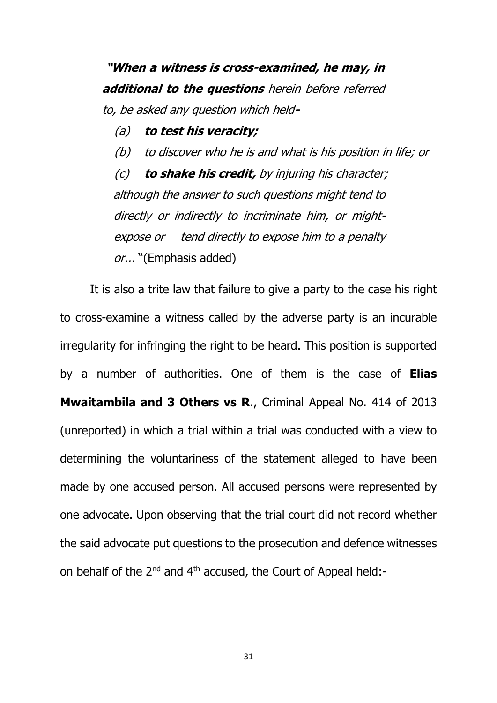**"When a witness is cross-examined, he may, in additional to the questions** herein before referred to, be asked any question which held**-**

(a) **to test his veracity;**

(b) to discover who he is and what is his position in life; or

(c) **to shake his credit,** by injuring his character; although the answer to such questions might tend to directly or indirectly to incriminate him, or mightexpose or tend directly to expose him to a penalty or... "(Emphasis added)

It is also a trite law that failure to give a party to the case his right to cross-examine a witness called by the adverse party is an incurable irregularity for infringing the right to be heard. This position is supported by a number of authorities. One of them is the case of **Elias Mwaitambila and 3 Others vs R**., Criminal Appeal No. 414 of 2013 (unreported) in which a trial within a trial was conducted with a view to determining the voluntariness of the statement alleged to have been made by one accused person. All accused persons were represented by one advocate. Upon observing that the trial court did not record whether the said advocate put questions to the prosecution and defence witnesses on behalf of the  $2^{nd}$  and  $4^{th}$  accused, the Court of Appeal held:-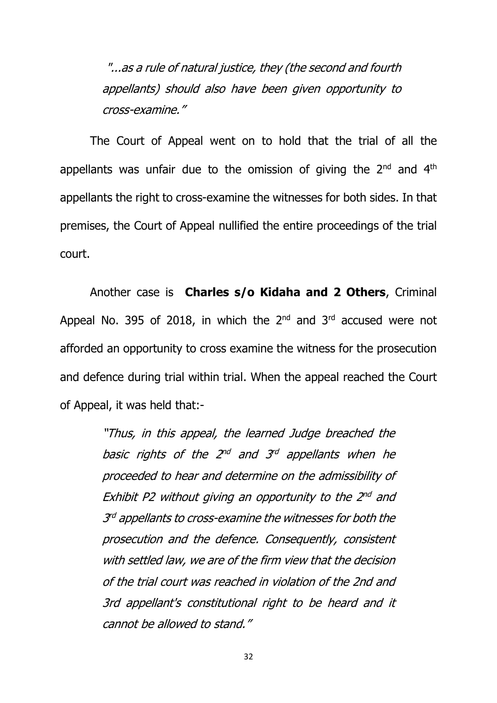"...as a rule of natural justice, they (the second and fourth appellants) should also have been given opportunity to cross-examine."

The Court of Appeal went on to hold that the trial of all the appellants was unfair due to the omission of giving the  $2<sup>nd</sup>$  and  $4<sup>th</sup>$ appellants the right to cross-examine the witnesses for both sides. In that premises, the Court of Appeal nullified the entire proceedings of the trial court.

Another case is **Charles s/o Kidaha and 2 Others**, Criminal Appeal No. 395 of 2018, in which the  $2<sup>nd</sup>$  and  $3<sup>rd</sup>$  accused were not afforded an opportunity to cross examine the witness for the prosecution and defence during trial within trial. When the appeal reached the Court of Appeal, it was held that:-

> "Thus, in this appeal, the learned Judge breached the basic rights of the 2 $^{nd}$  and 3 $^{rd}$  appellants when he proceeded to hear and determine on the admissibility of Exhibit P2 without giving an opportunity to the 2<sup>nd</sup> and 3<sup>rd</sup> appellants to cross-examine the witnesses for both the prosecution and the defence. Consequently, consistent with settled law, we are of the firm view that the decision of the trial court was reached in violation of the 2nd and 3rd appellant's constitutional right to be heard and it cannot be allowed to stand."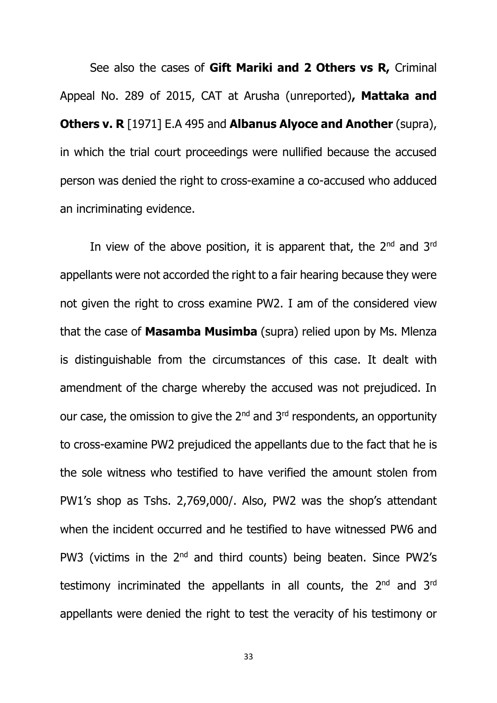See also the cases of **Gift Mariki and 2 Others vs R,** Criminal Appeal No. 289 of 2015, CAT at Arusha (unreported)**, Mattaka and Others v. R** [1971] E.A 495 and **Albanus Alyoce and Another** (supra), in which the trial court proceedings were nullified because the accused person was denied the right to cross-examine a co-accused who adduced an incriminating evidence.

In view of the above position, it is apparent that, the  $2<sup>nd</sup>$  and  $3<sup>rd</sup>$ appellants were not accorded the right to a fair hearing because they were not given the right to cross examine PW2. I am of the considered view that the case of **Masamba Musimba** (supra) relied upon by Ms. Mlenza is distinguishable from the circumstances of this case. It dealt with amendment of the charge whereby the accused was not prejudiced. In our case, the omission to give the  $2^{nd}$  and  $3^{rd}$  respondents, an opportunity to cross-examine PW2 prejudiced the appellants due to the fact that he is the sole witness who testified to have verified the amount stolen from PW1's shop as Tshs. 2,769,000/. Also, PW2 was the shop's attendant when the incident occurred and he testified to have witnessed PW6 and PW3 (victims in the 2<sup>nd</sup> and third counts) being beaten. Since PW2's testimony incriminated the appellants in all counts, the 2<sup>nd</sup> and 3<sup>rd</sup> appellants were denied the right to test the veracity of his testimony or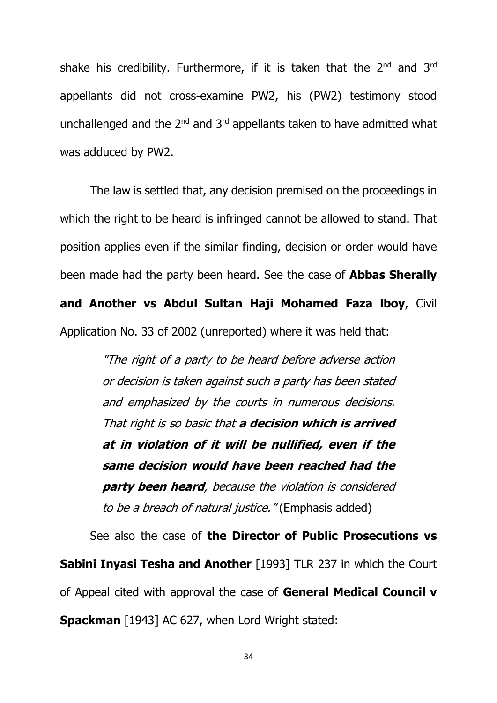shake his credibility. Furthermore, if it is taken that the  $2<sup>nd</sup>$  and  $3<sup>rd</sup>$ appellants did not cross-examine PW2, his (PW2) testimony stood unchallenged and the 2<sup>nd</sup> and 3<sup>rd</sup> appellants taken to have admitted what was adduced by PW2.

The law is settled that, any decision premised on the proceedings in which the right to be heard is infringed cannot be allowed to stand. That position applies even if the similar finding, decision or order would have been made had the party been heard. See the case of **Abbas Sherally and Another vs Abdul Sultan Haji Mohamed Faza lboy**, Civil Application No. 33 of 2002 (unreported) where it was held that:

> "The right of a party to be heard before adverse action or decision is taken against such a party has been stated and emphasized by the courts in numerous decisions. That right is so basic that **a decision which is arrived at in violation of it will be nullified, even if the same decision would have been reached had the party been heard**, because the violation is considered to be a breach of natural justice." (Emphasis added)

See also the case of **the Director of Public Prosecutions vs Sabini Inyasi Tesha and Another** [1993] TLR 237 in which the Court of Appeal cited with approval the case of **General Medical Council v Spackman** [1943] AC 627, when Lord Wright stated: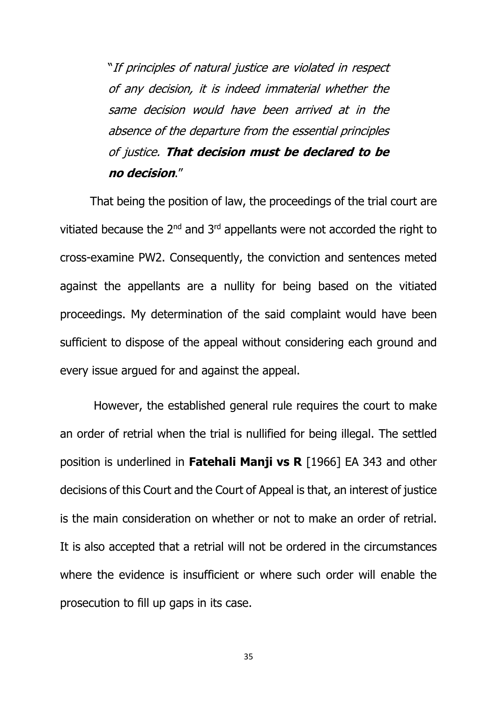"If principles of natural justice are violated in respect of any decision, it is indeed immaterial whether the same decision would have been arrived at in the absence of the departure from the essential principles of justice. **That decision must be declared to be no decision**."

That being the position of law, the proceedings of the trial court are vitiated because the  $2^{nd}$  and  $3^{rd}$  appellants were not accorded the right to cross-examine PW2. Consequently, the conviction and sentences meted against the appellants are a nullity for being based on the vitiated proceedings. My determination of the said complaint would have been sufficient to dispose of the appeal without considering each ground and every issue argued for and against the appeal.

However, the established general rule requires the court to make an order of retrial when the trial is nullified for being illegal. The settled position is underlined in **Fatehali Manji vs R** [1966] EA 343 and other decisions of this Court and the Court of Appeal is that, an interest of justice is the main consideration on whether or not to make an order of retrial. It is also accepted that a retrial will not be ordered in the circumstances where the evidence is insufficient or where such order will enable the prosecution to fill up gaps in its case.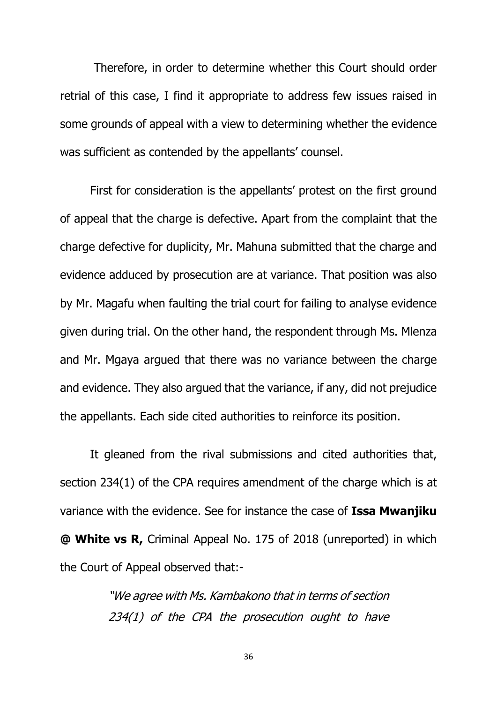Therefore, in order to determine whether this Court should order retrial of this case, I find it appropriate to address few issues raised in some grounds of appeal with a view to determining whether the evidence was sufficient as contended by the appellants' counsel.

First for consideration is the appellants' protest on the first ground of appeal that the charge is defective. Apart from the complaint that the charge defective for duplicity, Mr. Mahuna submitted that the charge and evidence adduced by prosecution are at variance. That position was also by Mr. Magafu when faulting the trial court for failing to analyse evidence given during trial. On the other hand, the respondent through Ms. Mlenza and Mr. Mgaya argued that there was no variance between the charge and evidence. They also argued that the variance, if any, did not prejudice the appellants. Each side cited authorities to reinforce its position.

It gleaned from the rival submissions and cited authorities that, section 234(1) of the CPA requires amendment of the charge which is at variance with the evidence. See for instance the case of **Issa Mwanjiku @ White vs R,** Criminal Appeal No. 175 of 2018 (unreported) in which the Court of Appeal observed that:-

> "We agree with Ms. Kambakono that in terms of section 234(1) of the CPA the prosecution ought to have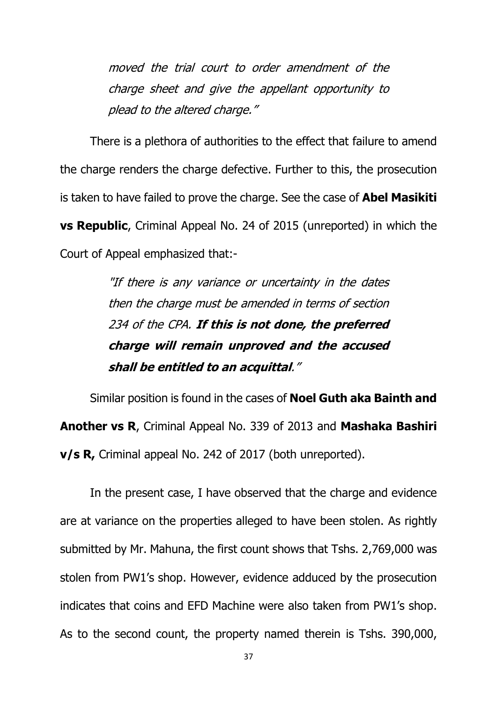moved the trial court to order amendment of the charge sheet and give the appellant opportunity to plead to the altered charge."

There is a plethora of authorities to the effect that failure to amend the charge renders the charge defective. Further to this, the prosecution is taken to have failed to prove the charge. See the case of **Abel Masikiti vs Republic**, Criminal Appeal No. 24 of 2015 (unreported) in which the Court of Appeal emphasized that:-

> "If there is any variance or uncertainty in the dates then the charge must be amended in terms of section 234 of the CPA. **If this is not done, the preferred charge will remain unproved and the accused shall be entitled to an acquittal**."

Similar position is found in the cases of **Noel Guth aka Bainth and Another vs R**, Criminal Appeal No. 339 of 2013 and **Mashaka Bashiri v/s R,** Criminal appeal No. 242 of 2017 (both unreported).

In the present case, I have observed that the charge and evidence are at variance on the properties alleged to have been stolen. As rightly submitted by Mr. Mahuna, the first count shows that Tshs. 2,769,000 was stolen from PW1's shop. However, evidence adduced by the prosecution indicates that coins and EFD Machine were also taken from PW1's shop. As to the second count, the property named therein is Tshs. 390,000,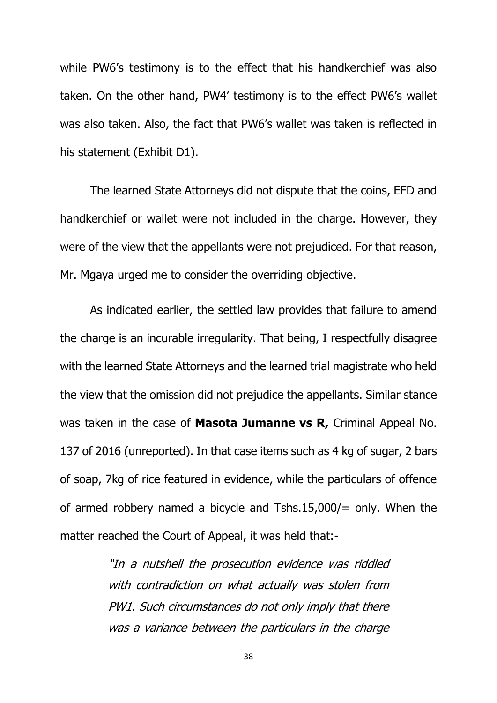while PW6's testimony is to the effect that his handkerchief was also taken. On the other hand, PW4' testimony is to the effect PW6's wallet was also taken. Also, the fact that PW6's wallet was taken is reflected in his statement (Exhibit D1).

The learned State Attorneys did not dispute that the coins, EFD and handkerchief or wallet were not included in the charge. However, they were of the view that the appellants were not prejudiced. For that reason, Mr. Mgaya urged me to consider the overriding objective.

As indicated earlier, the settled law provides that failure to amend the charge is an incurable irregularity. That being, I respectfully disagree with the learned State Attorneys and the learned trial magistrate who held the view that the omission did not prejudice the appellants. Similar stance was taken in the case of **Masota Jumanne vs R,** Criminal Appeal No. 137 of 2016 (unreported). In that case items such as 4 kg of sugar, 2 bars of soap, 7kg of rice featured in evidence, while the particulars of offence of armed robbery named a bicycle and Tshs.15,000/= only. When the matter reached the Court of Appeal, it was held that:-

> "In a nutshell the prosecution evidence was riddled with contradiction on what actually was stolen from PW1. Such circumstances do not only imply that there was a variance between the particulars in the charge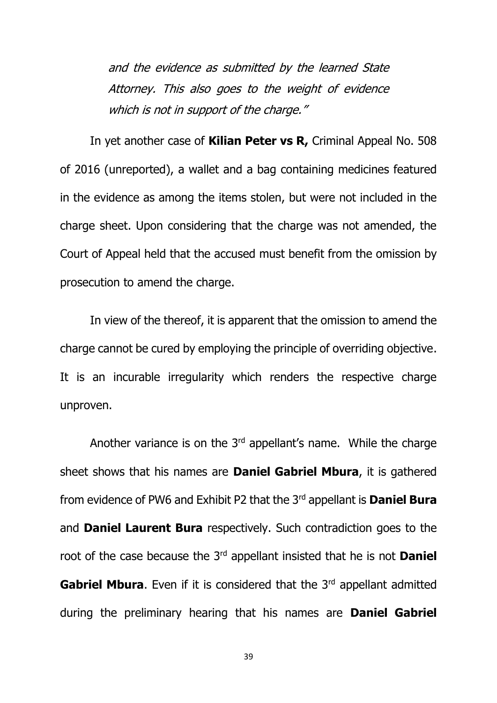and the evidence as submitted by the learned State Attorney. This also goes to the weight of evidence which is not in support of the charge."

In yet another case of **Kilian Peter vs R,** Criminal Appeal No. 508 of 2016 (unreported), a wallet and a bag containing medicines featured in the evidence as among the items stolen, but were not included in the charge sheet. Upon considering that the charge was not amended, the Court of Appeal held that the accused must benefit from the omission by prosecution to amend the charge.

In view of the thereof, it is apparent that the omission to amend the charge cannot be cured by employing the principle of overriding objective. It is an incurable irregularity which renders the respective charge unproven.

Another variance is on the  $3<sup>rd</sup>$  appellant's name. While the charge sheet shows that his names are **Daniel Gabriel Mbura**, it is gathered from evidence of PW6 and Exhibit P2 that the 3rd appellant is **Daniel Bura**  and **Daniel Laurent Bura** respectively. Such contradiction goes to the root of the case because the 3rd appellant insisted that he is not **Daniel Gabriel Mbura.** Even if it is considered that the 3<sup>rd</sup> appellant admitted during the preliminary hearing that his names are **Daniel Gabriel**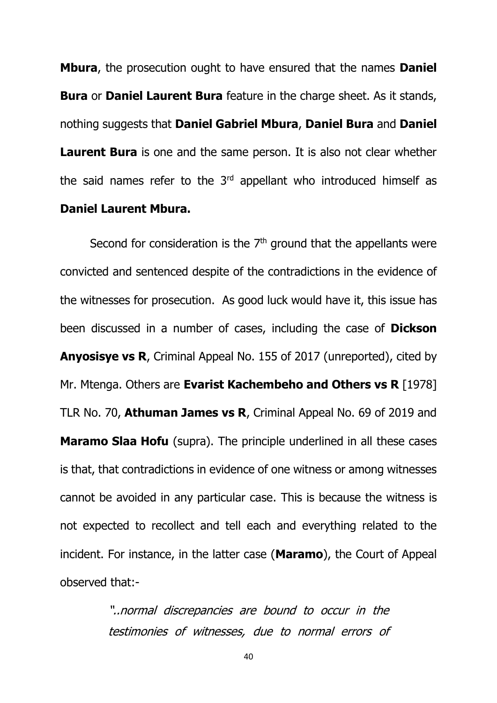**Mbura**, the prosecution ought to have ensured that the names **Daniel Bura** or **Daniel Laurent Bura** feature in the charge sheet. As it stands, nothing suggests that **Daniel Gabriel Mbura**, **Daniel Bura** and **Daniel Laurent Bura** is one and the same person. It is also not clear whether the said names refer to the  $3<sup>rd</sup>$  appellant who introduced himself as **Daniel Laurent Mbura.**

Second for consideration is the  $7<sup>th</sup>$  ground that the appellants were convicted and sentenced despite of the contradictions in the evidence of the witnesses for prosecution. As good luck would have it, this issue has been discussed in a number of cases, including the case of **Dickson Anyosisye vs R**, Criminal Appeal No. 155 of 2017 (unreported), cited by Mr. Mtenga. Others are **Evarist Kachembeho and Others vs R** [1978] TLR No. 70, **Athuman James vs R**, Criminal Appeal No. 69 of 2019 and **Maramo Slaa Hofu** (supra). The principle underlined in all these cases is that, that contradictions in evidence of one witness or among witnesses cannot be avoided in any particular case. This is because the witness is not expected to recollect and tell each and everything related to the incident. For instance, in the latter case (**Maramo**), the Court of Appeal observed that:-

> "..normal discrepancies are bound to occur in the testimonies of witnesses, due to normal errors of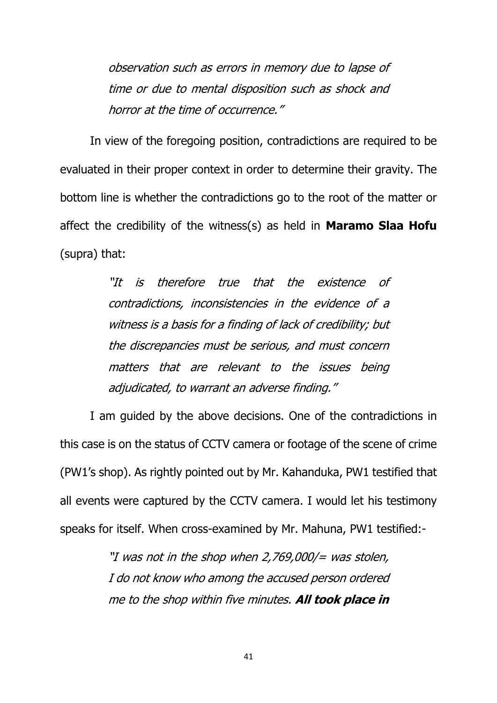observation such as errors in memory due to lapse of time or due to mental disposition such as shock and horror at the time of occurrence."

In view of the foregoing position, contradictions are required to be evaluated in their proper context in order to determine their gravity. The bottom line is whether the contradictions go to the root of the matter or affect the credibility of the witness(s) as held in **Maramo Slaa Hofu** (supra) that:

> "It is therefore true that the existence of contradictions, inconsistencies in the evidence of a witness is a basis for a finding of lack of credibility; but the discrepancies must be serious, and must concern matters that are relevant to the issues being adjudicated, to warrant an adverse finding."

I am guided by the above decisions. One of the contradictions in this case is on the status of CCTV camera or footage of the scene of crime (PW1's shop). As rightly pointed out by Mr. Kahanduka, PW1 testified that all events were captured by the CCTV camera. I would let his testimony speaks for itself. When cross-examined by Mr. Mahuna, PW1 testified:-

> "I was not in the shop when 2,769,000/= was stolen, I do not know who among the accused person ordered me to the shop within five minutes. **All took place in**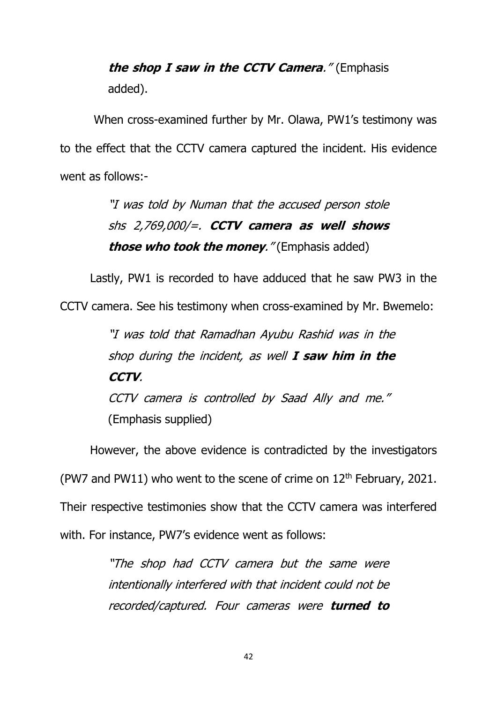# **the shop I saw in the CCTV Camera**." (Emphasis added).

When cross-examined further by Mr. Olawa, PW1's testimony was to the effect that the CCTV camera captured the incident. His evidence went as follows:-

> "I was told by Numan that the accused person stole shs 2,769,000/=. **CCTV camera as well shows those who took the money**." (Emphasis added)

Lastly, PW1 is recorded to have adduced that he saw PW3 in the

CCTV camera. See his testimony when cross-examined by Mr. Bwemelo:

"I was told that Ramadhan Ayubu Rashid was in the shop during the incident, as well **I saw him in the CCTV**. CCTV camera is controlled by Saad Ally and me." (Emphasis supplied)

However, the above evidence is contradicted by the investigators (PW7 and PW11) who went to the scene of crime on  $12<sup>th</sup>$  February, 2021. Their respective testimonies show that the CCTV camera was interfered with. For instance, PW7's evidence went as follows:

> "The shop had CCTV camera but the same were intentionally interfered with that incident could not be recorded/captured. Four cameras were **turned to**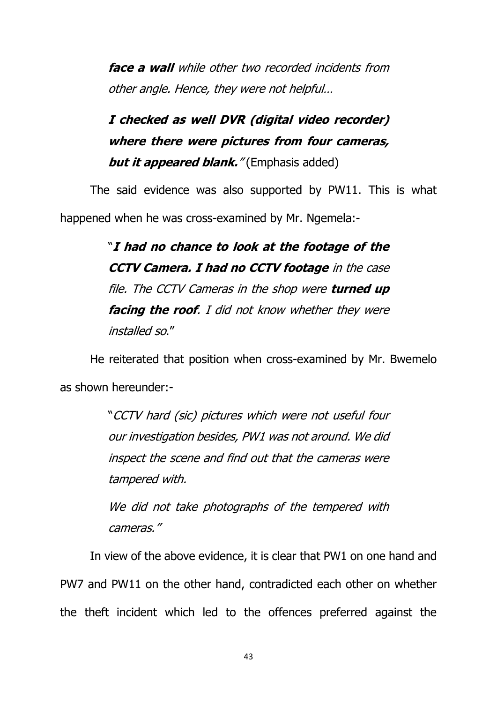**face a wall** while other two recorded incidents from other angle. Hence, they were not helpful…

# **I checked as well DVR (digital video recorder) where there were pictures from four cameras,**  *but it appeared blank.*" (Emphasis added)

The said evidence was also supported by PW11. This is what happened when he was cross-examined by Mr. Ngemela:-

> "**I had no chance to look at the footage of the CCTV Camera. I had no CCTV footage** in the case file. The CCTV Cameras in the shop were **turned up facing the roof**. I did not know whether they were installed so."

He reiterated that position when cross-examined by Mr. Bwemelo as shown hereunder:-

> "CCTV hard (sic) pictures which were not useful four our investigation besides, PW1 was not around. We did inspect the scene and find out that the cameras were tampered with.

> We did not take photographs of the tempered with cameras."

In view of the above evidence, it is clear that PW1 on one hand and PW7 and PW11 on the other hand, contradicted each other on whether the theft incident which led to the offences preferred against the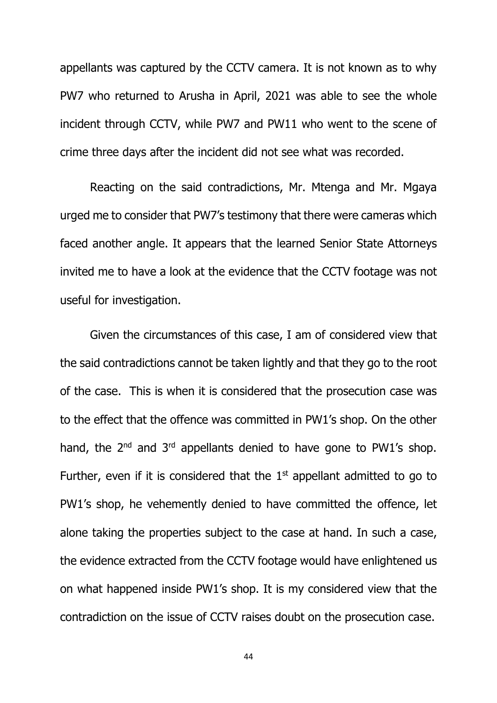appellants was captured by the CCTV camera. It is not known as to why PW7 who returned to Arusha in April, 2021 was able to see the whole incident through CCTV, while PW7 and PW11 who went to the scene of crime three days after the incident did not see what was recorded.

Reacting on the said contradictions, Mr. Mtenga and Mr. Mgaya urged me to consider that PW7's testimony that there were cameras which faced another angle. It appears that the learned Senior State Attorneys invited me to have a look at the evidence that the CCTV footage was not useful for investigation.

Given the circumstances of this case, I am of considered view that the said contradictions cannot be taken lightly and that they go to the root of the case. This is when it is considered that the prosecution case was to the effect that the offence was committed in PW1's shop. On the other hand, the  $2^{nd}$  and  $3^{rd}$  appellants denied to have gone to PW1's shop. Further, even if it is considered that the  $1<sup>st</sup>$  appellant admitted to go to PW1's shop, he vehemently denied to have committed the offence, let alone taking the properties subject to the case at hand. In such a case, the evidence extracted from the CCTV footage would have enlightened us on what happened inside PW1's shop. It is my considered view that the contradiction on the issue of CCTV raises doubt on the prosecution case.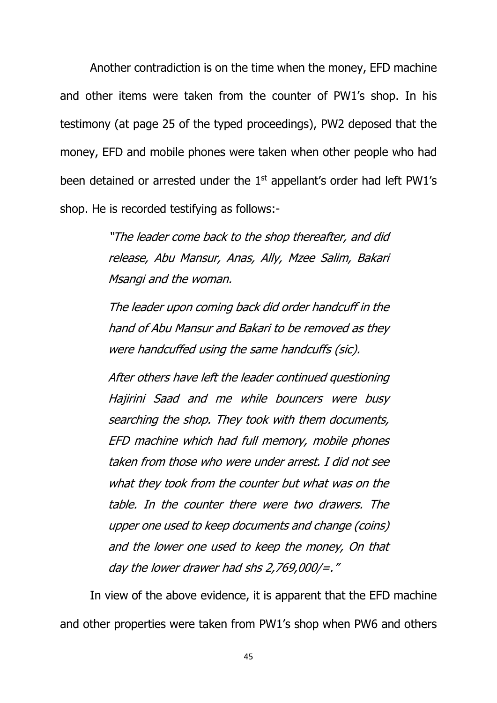Another contradiction is on the time when the money, EFD machine and other items were taken from the counter of PW1's shop. In his testimony (at page 25 of the typed proceedings), PW2 deposed that the money, EFD and mobile phones were taken when other people who had been detained or arrested under the 1<sup>st</sup> appellant's order had left PW1's shop. He is recorded testifying as follows:-

> "The leader come back to the shop thereafter, and did release, Abu Mansur, Anas, Ally, Mzee Salim, Bakari Msangi and the woman.

> The leader upon coming back did order handcuff in the hand of Abu Mansur and Bakari to be removed as they were handcuffed using the same handcuffs (sic).

> After others have left the leader continued questioning Hajirini Saad and me while bouncers were busy searching the shop. They took with them documents, EFD machine which had full memory, mobile phones taken from those who were under arrest. I did not see what they took from the counter but what was on the table. In the counter there were two drawers. The upper one used to keep documents and change (coins) and the lower one used to keep the money, On that day the lower drawer had shs 2,769,000/=."

In view of the above evidence, it is apparent that the EFD machine and other properties were taken from PW1's shop when PW6 and others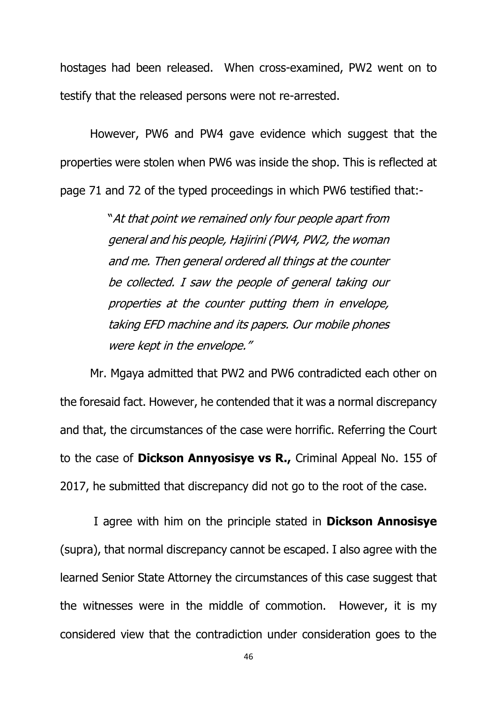hostages had been released. When cross-examined, PW2 went on to testify that the released persons were not re-arrested.

However, PW6 and PW4 gave evidence which suggest that the properties were stolen when PW6 was inside the shop. This is reflected at page 71 and 72 of the typed proceedings in which PW6 testified that:-

> "At that point we remained only four people apart from general and his people, Hajirini (PW4, PW2, the woman and me. Then general ordered all things at the counter be collected. I saw the people of general taking our properties at the counter putting them in envelope, taking EFD machine and its papers. Our mobile phones were kept in the envelope."

Mr. Mgaya admitted that PW2 and PW6 contradicted each other on the foresaid fact. However, he contended that it was a normal discrepancy and that, the circumstances of the case were horrific. Referring the Court to the case of **Dickson Annyosisye vs R.,** Criminal Appeal No. 155 of 2017, he submitted that discrepancy did not go to the root of the case.

I agree with him on the principle stated in **Dickson Annosisye** (supra), that normal discrepancy cannot be escaped. I also agree with the learned Senior State Attorney the circumstances of this case suggest that the witnesses were in the middle of commotion. However, it is my considered view that the contradiction under consideration goes to the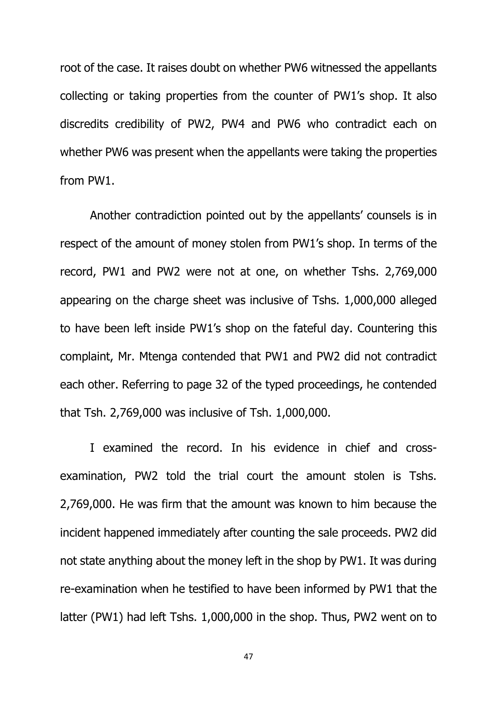root of the case. It raises doubt on whether PW6 witnessed the appellants collecting or taking properties from the counter of PW1's shop. It also discredits credibility of PW2, PW4 and PW6 who contradict each on whether PW6 was present when the appellants were taking the properties from PW1.

Another contradiction pointed out by the appellants' counsels is in respect of the amount of money stolen from PW1's shop. In terms of the record, PW1 and PW2 were not at one, on whether Tshs. 2,769,000 appearing on the charge sheet was inclusive of Tshs. 1,000,000 alleged to have been left inside PW1's shop on the fateful day. Countering this complaint, Mr. Mtenga contended that PW1 and PW2 did not contradict each other. Referring to page 32 of the typed proceedings, he contended that Tsh. 2,769,000 was inclusive of Tsh. 1,000,000.

I examined the record. In his evidence in chief and crossexamination, PW2 told the trial court the amount stolen is Tshs. 2,769,000. He was firm that the amount was known to him because the incident happened immediately after counting the sale proceeds. PW2 did not state anything about the money left in the shop by PW1. It was during re-examination when he testified to have been informed by PW1 that the latter (PW1) had left Tshs. 1,000,000 in the shop. Thus, PW2 went on to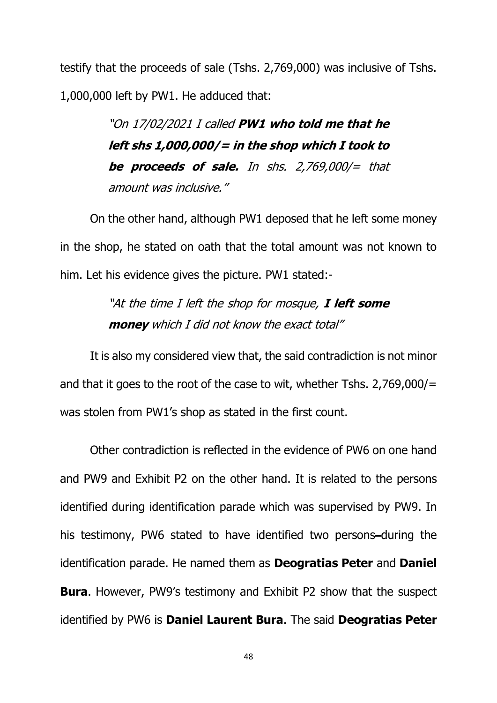testify that the proceeds of sale (Tshs. 2,769,000) was inclusive of Tshs. 1,000,000 left by PW1. He adduced that:

> "On 17/02/2021 I called **PW1 who told me that he left shs 1,000,000/= in the shop which I took to be proceeds of sale.** In shs. 2,769,000/= that amount was inclusive."

On the other hand, although PW1 deposed that he left some money in the shop, he stated on oath that the total amount was not known to him. Let his evidence gives the picture. PW1 stated:-

> "At the time I left the shop for mosque, **I left some money** which I did not know the exact total"

It is also my considered view that, the said contradiction is not minor and that it goes to the root of the case to wit, whether Tshs. 2,769,000/= was stolen from PW1's shop as stated in the first count.

Other contradiction is reflected in the evidence of PW6 on one hand and PW9 and Exhibit P2 on the other hand. It is related to the persons identified during identification parade which was supervised by PW9. In his testimony, PW6 stated to have identified two persons-during the identification parade. He named them as **Deogratias Peter** and **Daniel Bura**. However, PW9's testimony and Exhibit P2 show that the suspect identified by PW6 is **Daniel Laurent Bura**. The said **Deogratias Peter**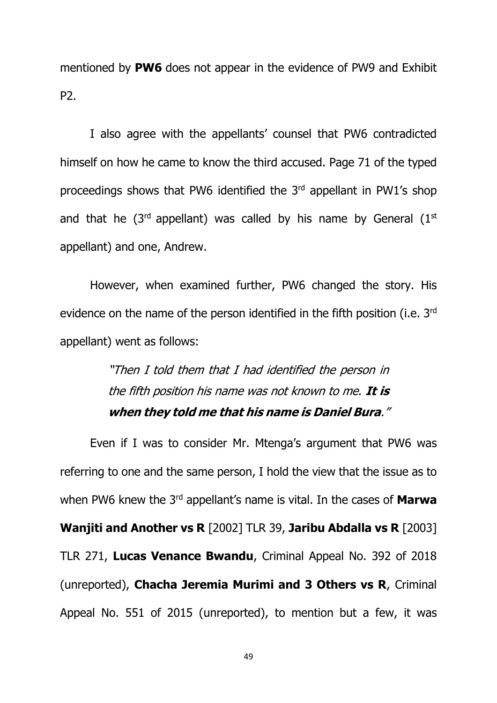mentioned by **PW6** does not appear in the evidence of PW9 and Exhibit P2.

I also agree with the appellants' counsel that PW6 contradicted himself on how he came to know the third accused. Page 71 of the typed proceedings shows that PW6 identified the 3rd appellant in PW1's shop and that he ( $3<sup>rd</sup>$  appellant) was called by his name by General ( $1<sup>st</sup>$ appellant) and one, Andrew.

However, when examined further, PW6 changed the story. His evidence on the name of the person identified in the fifth position (i.e. 3<sup>rd</sup>) appellant) went as follows:

> "Then I told them that I had identified the person in the fifth position his name was not known to me. **It is when they told me that his name is Daniel Bura**."

Even if I was to consider Mr. Mtenga's argument that PW6 was referring to one and the same person, I hold the view that the issue as to when PW6 knew the 3rd appellant's name is vital. In the cases of **Marwa Wanjiti and Another vs R** [2002] TLR 39, **Jaribu Abdalla vs R** [2003] TLR 271, **Lucas Venance Bwandu**, Criminal Appeal No. 392 of 2018 (unreported), **Chacha Jeremia Murimi and 3 Others vs R**, Criminal Appeal No. 551 of 2015 (unreported), to mention but a few, it was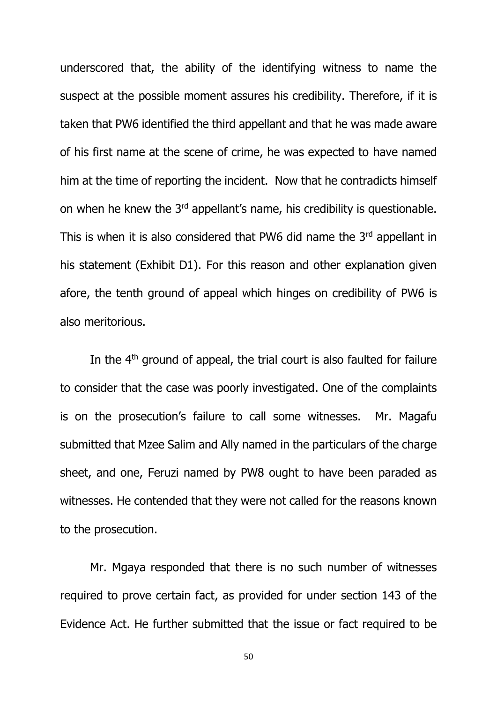underscored that, the ability of the identifying witness to name the suspect at the possible moment assures his credibility. Therefore, if it is taken that PW6 identified the third appellant and that he was made aware of his first name at the scene of crime, he was expected to have named him at the time of reporting the incident. Now that he contradicts himself on when he knew the 3rd appellant's name, his credibility is questionable. This is when it is also considered that PW6 did name the  $3<sup>rd</sup>$  appellant in his statement (Exhibit D1). For this reason and other explanation given afore, the tenth ground of appeal which hinges on credibility of PW6 is also meritorious.

In the 4<sup>th</sup> ground of appeal, the trial court is also faulted for failure to consider that the case was poorly investigated. One of the complaints is on the prosecution's failure to call some witnesses. Mr. Magafu submitted that Mzee Salim and Ally named in the particulars of the charge sheet, and one, Feruzi named by PW8 ought to have been paraded as witnesses. He contended that they were not called for the reasons known to the prosecution.

Mr. Mgaya responded that there is no such number of witnesses required to prove certain fact, as provided for under section 143 of the Evidence Act. He further submitted that the issue or fact required to be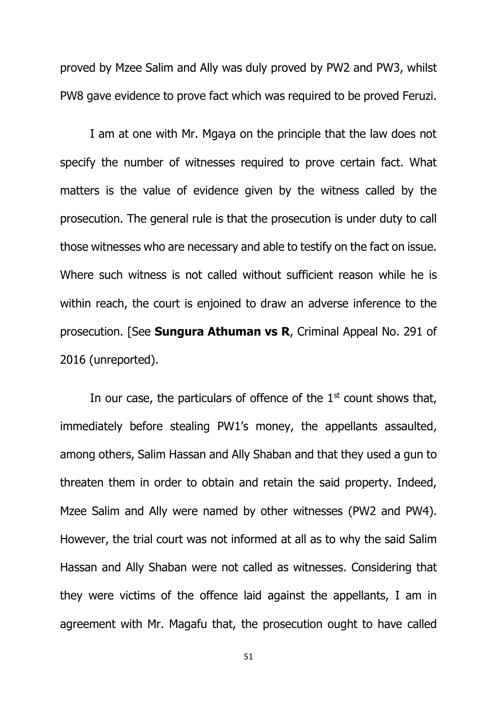proved by Mzee Salim and Ally was duly proved by PW2 and PW3, whilst PW8 gave evidence to prove fact which was required to be proved Feruzi.

I am at one with Mr. Mgaya on the principle that the law does not specify the number of witnesses required to prove certain fact. What matters is the value of evidence given by the witness called by the prosecution. The general rule is that the prosecution is under duty to call those witnesses who are necessary and able to testify on the fact on issue. Where such witness is not called without sufficient reason while he is within reach, the court is enjoined to draw an adverse inference to the prosecution. [See **Sungura Athuman vs R**, Criminal Appeal No. 291 of 2016 (unreported).

In our case, the particulars of offence of the  $1<sup>st</sup>$  count shows that, immediately before stealing PW1's money, the appellants assaulted, among others, Salim Hassan and Ally Shaban and that they used a gun to threaten them in order to obtain and retain the said property. Indeed, Mzee Salim and Ally were named by other witnesses (PW2 and PW4). However, the trial court was not informed at all as to why the said Salim Hassan and Ally Shaban were not called as witnesses. Considering that they were victims of the offence laid against the appellants, I am in agreement with Mr. Magafu that, the prosecution ought to have called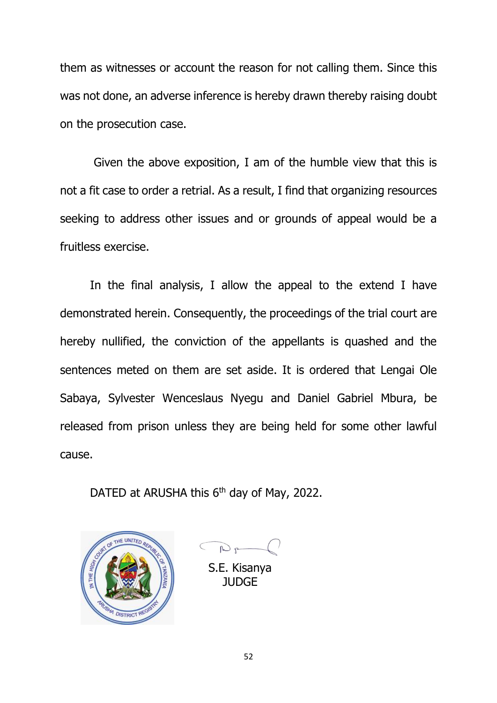them as witnesses or account the reason for not calling them. Since this was not done, an adverse inference is hereby drawn thereby raising doubt on the prosecution case.

Given the above exposition, I am of the humble view that this is not a fit case to order a retrial. As a result, I find that organizing resources seeking to address other issues and or grounds of appeal would be a fruitless exercise.

In the final analysis, I allow the appeal to the extend I have demonstrated herein. Consequently, the proceedings of the trial court are hereby nullified, the conviction of the appellants is quashed and the sentences meted on them are set aside. It is ordered that Lengai Ole Sabaya, Sylvester Wenceslaus Nyegu and Daniel Gabriel Mbura, be released from prison unless they are being held for some other lawful cause.

DATED at ARUSHA this 6<sup>th</sup> day of May, 2022.



 $D_{P}$ 

S.E. Kisanya JUDGE